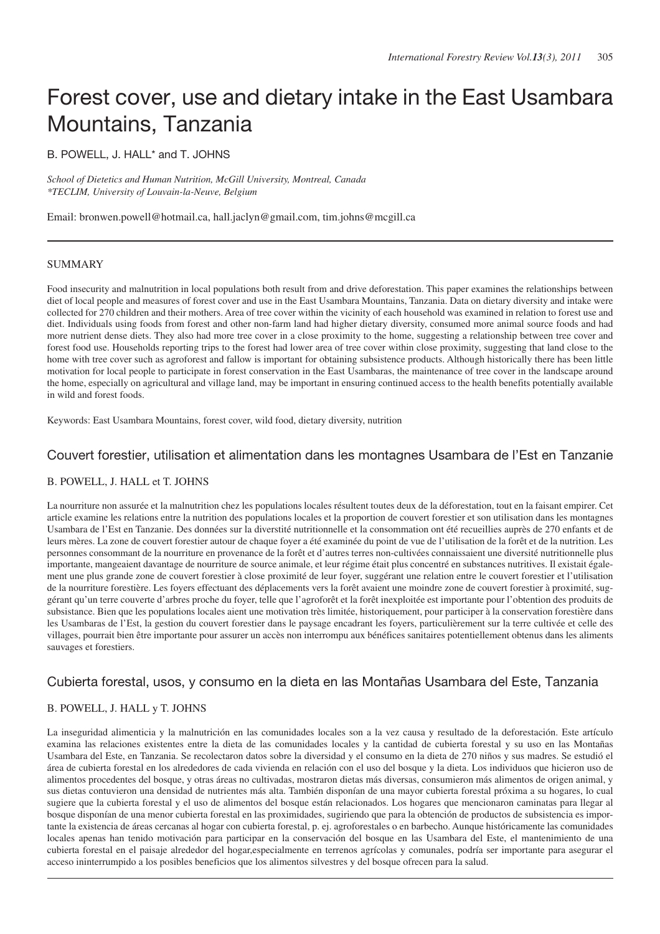# Forest cover, use and dietary intake in the East Usambara Mountains, Tanzania

# B. POWELL, J. HALL\* and T. JOHNS

*School of Dietetics and Human Nutrition, McGill University, Montreal, Canada \*TECLIM, University of Louvain-la-Neuve, Belgium*

Email: bronwen.powell@hotmail.ca, hall.jaclyn@gmail.com, tim.johns@mcgill.ca

# SUMMARY

Food insecurity and malnutrition in local populations both result from and drive deforestation. This paper examines the relationships between diet of local people and measures of forest cover and use in the East Usambara Mountains, Tanzania. Data on dietary diversity and intake were collected for 270 children and their mothers. Area of tree cover within the vicinity of each household was examined in relation to forest use and diet. Individuals using foods from forest and other non-farm land had higher dietary diversity, consumed more animal source foods and had more nutrient dense diets. They also had more tree cover in a close proximity to the home, suggesting a relationship between tree cover and forest food use. Households reporting trips to the forest had lower area of tree cover within close proximity, suggesting that land close to the home with tree cover such as agroforest and fallow is important for obtaining subsistence products. Although historically there has been little motivation for local people to participate in forest conservation in the East Usambaras, the maintenance of tree cover in the landscape around the home, especially on agricultural and village land, may be important in ensuring continued access to the health benefits potentially available in wild and forest foods.

Keywords: East Usambara Mountains, forest cover, wild food, dietary diversity, nutrition

# Couvert forestier, utilisation et alimentation dans les montagnes Usambara de l'Est en Tanzanie

# B. POWELL, J. HALL et T. JOHNS

La nourriture non assurée et la malnutrition chez les populations locales résultent toutes deux de la déforestation, tout en la faisant empirer. Cet article examine les relations entre la nutrition des populations locales et la proportion de couvert forestier et son utilisation dans les montagnes Usambara de l'Est en Tanzanie. Des données sur la diverstité nutritionnelle et la consommation ont été recueillies auprès de 270 enfants et de leurs mères. La zone de couvert forestier autour de chaque foyer a été examinée du point de vue de l'utilisation de la forêt et de la nutrition. Les personnes consommant de la nourriture en provenance de la forêt et d'autres terres non-cultivées connaissaient une diversité nutritionnelle plus importante, mangeaient davantage de nourriture de source animale, et leur régime était plus concentré en substances nutritives. Il existait également une plus grande zone de couvert forestier à close proximité de leur foyer, suggérant une relation entre le couvert forestier et l'utilisation de la nourriture forestière. Les foyers effectuant des déplacements vers la forêt avaient une moindre zone de couvert forestier à proximité, suggérant qu'un terre couverte d'arbres proche du foyer, telle que l'agroforêt et la forêt inexploitée est importante pour l'obtention des produits de subsistance. Bien que les populations locales aient une motivation très limitée, historiquement, pour participer à la conservation forestière dans les Usambaras de l'Est, la gestion du couvert forestier dans le paysage encadrant les foyers, particulièrement sur la terre cultivée et celle des villages, pourrait bien être importante pour assurer un accès non interrompu aux bénéfices sanitaires potentiellement obtenus dans les aliments sauvages et forestiers.

# Cubierta forestal, usos, y consumo en la dieta en las Montañas Usambara del Este, Tanzania

# B. POWELL, J. HALL y T. JOHNS

La inseguridad alimenticia y la malnutrición en las comunidades locales son a la vez causa y resultado de la deforestación. Este artículo examina las relaciones existentes entre la dieta de las comunidades locales y la cantidad de cubierta forestal y su uso en las Montañas Usambara del Este, en Tanzania. Se recolectaron datos sobre la diversidad y el consumo en la dieta de 270 niños y sus madres. Se estudió el área de cubierta forestal en los alrededores de cada vivienda en relación con el uso del bosque y la dieta. Los individuos que hicieron uso de alimentos procedentes del bosque, y otras áreas no cultivadas, mostraron dietas más diversas, consumieron más alimentos de origen animal, y sus dietas contuvieron una densidad de nutrientes más alta. También disponían de una mayor cubierta forestal próxima a su hogares, lo cual sugiere que la cubierta forestal y el uso de alimentos del bosque están relacionados. Los hogares que mencionaron caminatas para llegar al bosque disponían de una menor cubierta forestal en las proximidades, sugiriendo que para la obtención de productos de subsistencia es importante la existencia de áreas cercanas al hogar con cubierta forestal, p. ej. agroforestales o en barbecho. Aunque históricamente las comunidades locales apenas han tenido motivación para participar en la conservación del bosque en las Usambara del Este, el mantenimiento de una cubierta forestal en el paisaje alrededor del hogar,especialmente en terrenos agrícolas y comunales, podría ser importante para asegurar el acceso ininterrumpido a los posibles beneficios que los alimentos silvestres y del bosque ofrecen para la salud.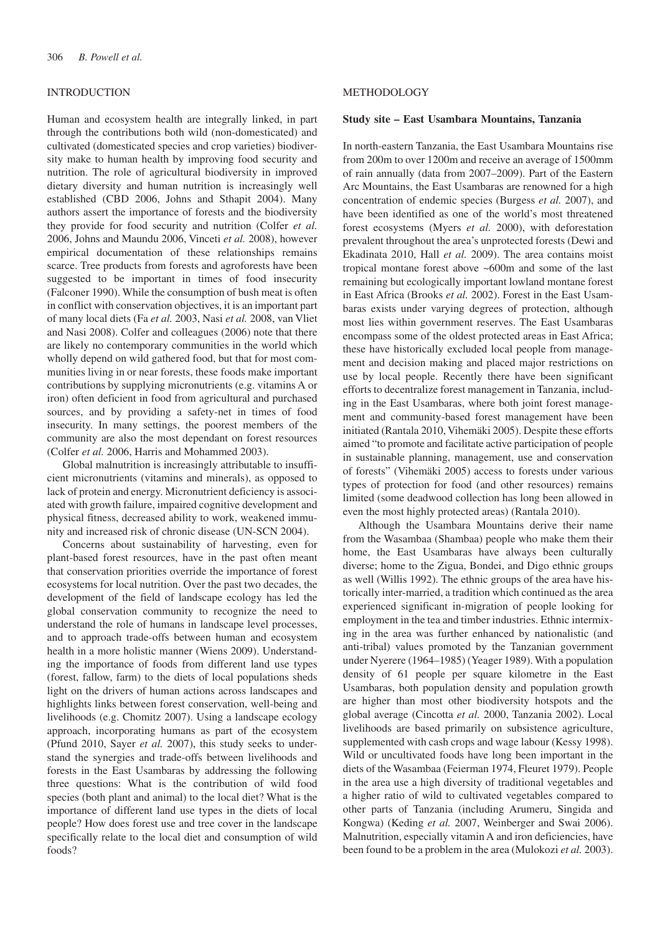#### INTRODUCTION

Human and ecosystem health are integrally linked, in part through the contributions both wild (non-domesticated) and cultivated (domesticated species and crop varieties) biodiversity make to human health by improving food security and nutrition. The role of agricultural biodiversity in improved dietary diversity and human nutrition is increasingly well established (CBD 2006, Johns and Sthapit 2004). Many authors assert the importance of forests and the biodiversity they provide for food security and nutrition (Colfer *et al.* 2006, Johns and Maundu 2006, Vinceti *et al.* 2008), however empirical documentation of these relationships remains scarce. Tree products from forests and agroforests have been suggested to be important in times of food insecurity (Falconer 1990). While the consumption of bush meat is often in conflict with conservation objectives, it is an important part of many local diets (Fa *et al.* 2003, Nasi *et al.* 2008, van Vliet and Nasi 2008). Colfer and colleagues (2006) note that there are likely no contemporary communities in the world which wholly depend on wild gathered food, but that for most communities living in or near forests, these foods make important contributions by supplying micronutrients (e.g. vitamins A or iron) often deficient in food from agricultural and purchased sources, and by providing a safety-net in times of food insecurity. In many settings, the poorest members of the community are also the most dependant on forest resources (Colfer *et al.* 2006, Harris and Mohammed 2003).

Global malnutrition is increasingly attributable to insufficient micronutrients (vitamins and minerals), as opposed to lack of protein and energy. Micronutrient deficiency is associated with growth failure, impaired cognitive development and physical fitness, decreased ability to work, weakened immunity and increased risk of chronic disease (UN-SCN 2004).

Concerns about sustainability of harvesting, even for plant-based forest resources, have in the past often meant that conservation priorities override the importance of forest ecosystems for local nutrition. Over the past two decades, the development of the field of landscape ecology has led the global conservation community to recognize the need to understand the role of humans in landscape level processes, and to approach trade-offs between human and ecosystem health in a more holistic manner (Wiens 2009). Understanding the importance of foods from different land use types (forest, fallow, farm) to the diets of local populations sheds light on the drivers of human actions across landscapes and highlights links between forest conservation, well-being and livelihoods (e.g. Chomitz 2007). Using a landscape ecology approach, incorporating humans as part of the ecosystem (Pfund 2010, Sayer *et al.* 2007), this study seeks to understand the synergies and trade-offs between livelihoods and forests in the East Usambaras by addressing the following three questions: What is the contribution of wild food species (both plant and animal) to the local diet? What is the importance of different land use types in the diets of local people? How does forest use and tree cover in the landscape specifically relate to the local diet and consumption of wild foods?

#### METHODOLOGY

#### **Study site – East Usambara Mountains, Tanzania**

In north-eastern Tanzania, the East Usambara Mountains rise from 200m to over 1200m and receive an average of 1500mm of rain annually (data from 2007–2009). Part of the Eastern Arc Mountains, the East Usambaras are renowned for a high concentration of endemic species (Burgess *et al.* 2007), and have been identified as one of the world's most threatened forest ecosystems (Myers *et al.* 2000), with deforestation prevalent throughout the area's unprotected forests (Dewi and Ekadinata 2010, Hall *et al.* 2009). The area contains moist tropical montane forest above ~600m and some of the last remaining but ecologically important lowland montane forest in East Africa (Brooks *et al.* 2002). Forest in the East Usambaras exists under varying degrees of protection, although most lies within government reserves. The East Usambaras encompass some of the oldest protected areas in East Africa; these have historically excluded local people from management and decision making and placed major restrictions on use by local people. Recently there have been significant efforts to decentralize forest management in Tanzania, including in the East Usambaras, where both joint forest management and community-based forest management have been initiated (Rantala 2010, Vihemäki 2005). Despite these efforts aimed "to promote and facilitate active participation of people in sustainable planning, management, use and conservation of forests" (Vihemäki 2005) access to forests under various types of protection for food (and other resources) remains limited (some deadwood collection has long been allowed in even the most highly protected areas) (Rantala 2010).

Although the Usambara Mountains derive their name from the Wasambaa (Shambaa) people who make them their home, the East Usambaras have always been culturally diverse; home to the Zigua, Bondei, and Digo ethnic groups as well (Willis 1992). The ethnic groups of the area have historically inter-married, a tradition which continued as the area experienced significant in-migration of people looking for employment in the tea and timber industries. Ethnic intermixing in the area was further enhanced by nationalistic (and anti-tribal) values promoted by the Tanzanian government under Nyerere (1964–1985) (Yeager 1989). With a population density of 61 people per square kilometre in the East Usambaras, both population density and population growth are higher than most other biodiversity hotspots and the global average (Cincotta *et al.* 2000, Tanzania 2002). Local livelihoods are based primarily on subsistence agriculture, supplemented with cash crops and wage labour (Kessy 1998). Wild or uncultivated foods have long been important in the diets of the Wasambaa (Feierman 1974, Fleuret 1979). People in the area use a high diversity of traditional vegetables and a higher ratio of wild to cultivated vegetables compared to other parts of Tanzania (including Arumeru, Singida and Kongwa) (Keding *et al.* 2007, Weinberger and Swai 2006). Malnutrition, especially vitamin A and iron deficiencies, have been found to be a problem in the area (Mulokozi *et al.* 2003).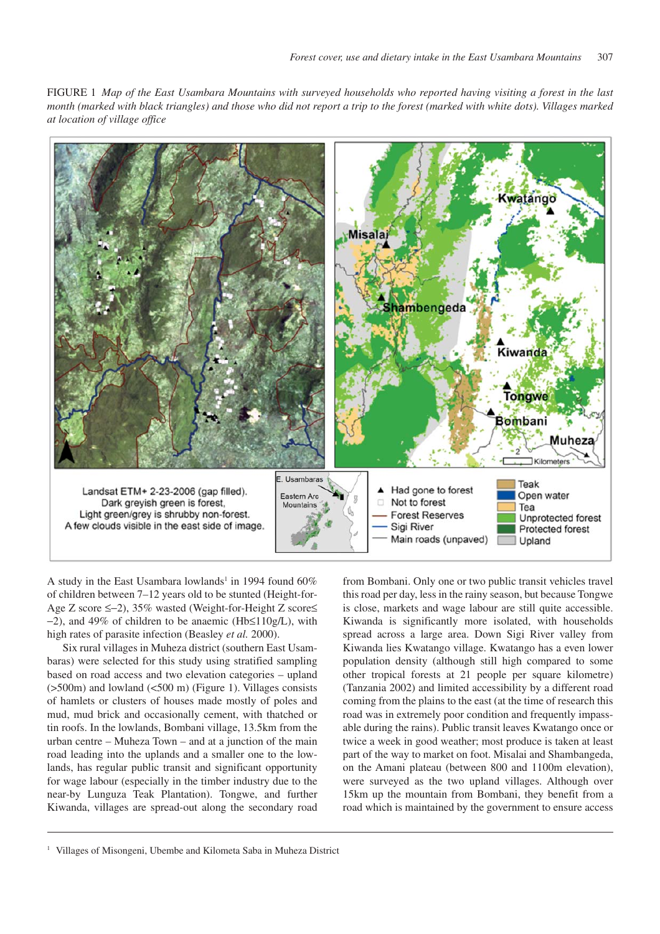FIGURE 1 *Map of the East Usambara Mountains with surveyed households who reported having visiting a forest in the last month (marked with black triangles) and those who did not report a trip to the forest (marked with white dots). Villages marked at location of village office*



A study in the East Usambara lowlands<sup>1</sup> in 1994 found  $60\%$ of children between 7–12 years old to be stunted (Height-for-Age Z score ≤−2), 35% wasted (Weight-for-Height Z score≤ −2), and 49% of children to be anaemic (Hb≤110g/L), with high rates of parasite infection (Beasley *et al.* 2000).

Six rural villages in Muheza district (southern East Usambaras) were selected for this study using stratified sampling based on road access and two elevation categories – upland  $(500m)$  and lowland  $(500m)$  (Figure 1). Villages consists of hamlets or clusters of houses made mostly of poles and mud, mud brick and occasionally cement, with thatched or tin roofs. In the lowlands, Bombani village, 13.5km from the urban centre – Muheza Town – and at a junction of the main road leading into the uplands and a smaller one to the lowlands, has regular public transit and significant opportunity for wage labour (especially in the timber industry due to the near-by Lunguza Teak Plantation). Tongwe, and further Kiwanda, villages are spread-out along the secondary road

from Bombani. Only one or two public transit vehicles travel this road per day, less in the rainy season, but because Tongwe is close, markets and wage labour are still quite accessible. Kiwanda is significantly more isolated, with households spread across a large area. Down Sigi River valley from Kiwanda lies Kwatango village. Kwatango has a even lower population density (although still high compared to some other tropical forests at 21 people per square kilometre) (Tanzania 2002) and limited accessibility by a different road coming from the plains to the east (at the time of research this road was in extremely poor condition and frequently impassable during the rains). Public transit leaves Kwatango once or twice a week in good weather; most produce is taken at least part of the way to market on foot. Misalai and Shambangeda, on the Amani plateau (between 800 and 1100m elevation), were surveyed as the two upland villages. Although over 15km up the mountain from Bombani, they benefit from a road which is maintained by the government to ensure access

<sup>&</sup>lt;sup>1</sup> Villages of Misongeni, Ubembe and Kilometa Saba in Muheza District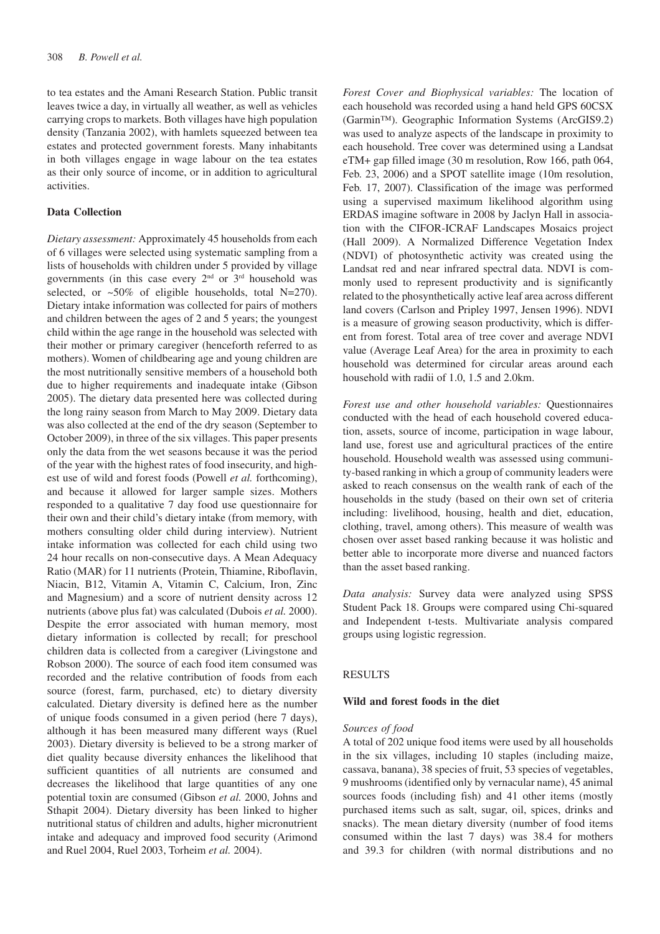to tea estates and the Amani Research Station. Public transit leaves twice a day, in virtually all weather, as well as vehicles carrying crops to markets. Both villages have high population density (Tanzania 2002), with hamlets squeezed between tea estates and protected government forests. Many inhabitants in both villages engage in wage labour on the tea estates as their only source of income, or in addition to agricultural activities.

# **Data Collection**

*Dietary assessment:* Approximately 45 households from each of 6 villages were selected using systematic sampling from a lists of households with children under 5 provided by village governments (in this case every 2nd or 3rd household was selected, or ~50% of eligible households, total N=270). Dietary intake information was collected for pairs of mothers and children between the ages of 2 and 5 years; the youngest child within the age range in the household was selected with their mother or primary caregiver (henceforth referred to as mothers). Women of childbearing age and young children are the most nutritionally sensitive members of a household both due to higher requirements and inadequate intake (Gibson 2005). The dietary data presented here was collected during the long rainy season from March to May 2009. Dietary data was also collected at the end of the dry season (September to October 2009), in three of the six villages. This paper presents only the data from the wet seasons because it was the period of the year with the highest rates of food insecurity, and highest use of wild and forest foods (Powell *et al.* forthcoming), and because it allowed for larger sample sizes. Mothers responded to a qualitative 7 day food use questionnaire for their own and their child's dietary intake (from memory, with mothers consulting older child during interview). Nutrient intake information was collected for each child using two 24 hour recalls on non-consecutive days. A Mean Adequacy Ratio (MAR) for 11 nutrients (Protein, Thiamine, Riboflavin, Niacin, B12, Vitamin A, Vitamin C, Calcium, Iron, Zinc and Magnesium) and a score of nutrient density across 12 nutrients (above plus fat) was calculated (Dubois *et al.* 2000). Despite the error associated with human memory, most dietary information is collected by recall; for preschool children data is collected from a caregiver (Livingstone and Robson 2000). The source of each food item consumed was recorded and the relative contribution of foods from each source (forest, farm, purchased, etc) to dietary diversity calculated. Dietary diversity is defined here as the number of unique foods consumed in a given period (here 7 days), although it has been measured many different ways (Ruel 2003). Dietary diversity is believed to be a strong marker of diet quality because diversity enhances the likelihood that sufficient quantities of all nutrients are consumed and decreases the likelihood that large quantities of any one potential toxin are consumed (Gibson *et al.* 2000, Johns and Sthapit 2004). Dietary diversity has been linked to higher nutritional status of children and adults, higher micronutrient intake and adequacy and improved food security (Arimond and Ruel 2004, Ruel 2003, Torheim *et al.* 2004).

*Forest Cover and Biophysical variables:* The location of each household was recorded using a hand held GPS 60CSX (Garmin™). Geographic Information Systems (ArcGIS9.2) was used to analyze aspects of the landscape in proximity to each household. Tree cover was determined using a Landsat eTM+ gap filled image (30 m resolution, Row 166, path 064, Feb. 23, 2006) and a SPOT satellite image (10m resolution, Feb. 17, 2007). Classification of the image was performed using a supervised maximum likelihood algorithm using ERDAS imagine software in 2008 by Jaclyn Hall in association with the CIFOR-ICRAF Landscapes Mosaics project (Hall 2009). A Normalized Difference Vegetation Index (NDVI) of photosynthetic activity was created using the Landsat red and near infrared spectral data. NDVI is commonly used to represent productivity and is significantly related to the phosynthetically active leaf area across different land covers (Carlson and Pripley 1997, Jensen 1996). NDVI is a measure of growing season productivity, which is different from forest. Total area of tree cover and average NDVI value (Average Leaf Area) for the area in proximity to each household was determined for circular areas around each household with radii of 1.0, 1.5 and 2.0km.

*Forest use and other household variables:* Questionnaires conducted with the head of each household covered education, assets, source of income, participation in wage labour, land use, forest use and agricultural practices of the entire household. Household wealth was assessed using community-based ranking in which a group of community leaders were asked to reach consensus on the wealth rank of each of the households in the study (based on their own set of criteria including: livelihood, housing, health and diet, education, clothing, travel, among others). This measure of wealth was chosen over asset based ranking because it was holistic and better able to incorporate more diverse and nuanced factors than the asset based ranking.

*Data analysis:* Survey data were analyzed using SPSS Student Pack 18. Groups were compared using Chi-squared and Independent t-tests. Multivariate analysis compared groups using logistic regression.

#### RESULTS

### **Wild and forest foods in the diet**

#### *Sources of food*

A total of 202 unique food items were used by all households in the six villages, including 10 staples (including maize, cassava, banana), 38 species of fruit, 53 species of vegetables, 9 mushrooms (identified only by vernacular name), 45 animal sources foods (including fish) and 41 other items (mostly purchased items such as salt, sugar, oil, spices, drinks and snacks). The mean dietary diversity (number of food items consumed within the last 7 days) was 38.4 for mothers and 39.3 for children (with normal distributions and no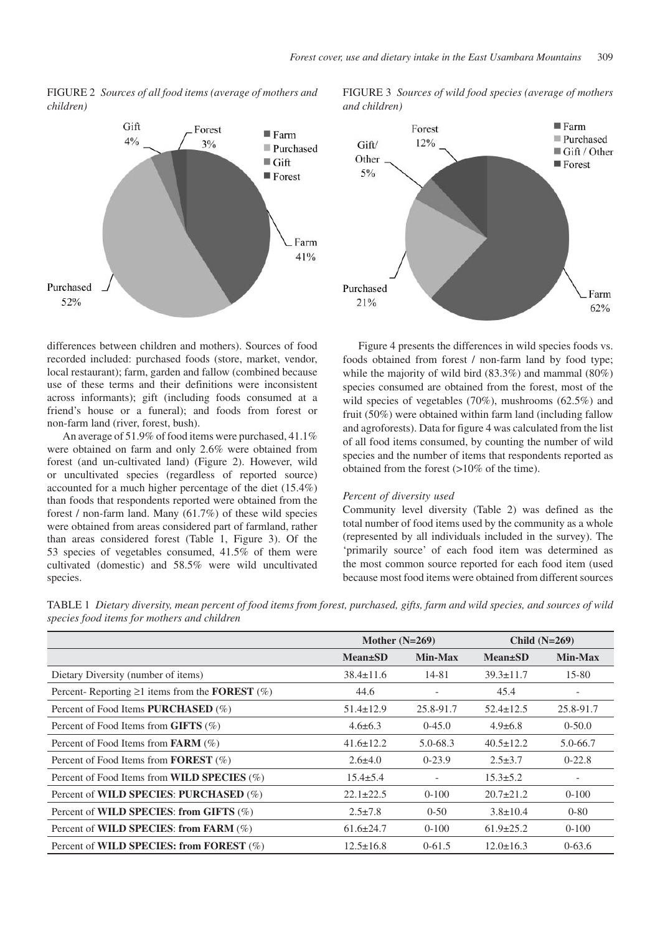FIGURE 2 *Sources of all food items (average of mothers and children)*



differences between children and mothers). Sources of food recorded included: purchased foods (store, market, vendor, local restaurant); farm, garden and fallow (combined because use of these terms and their definitions were inconsistent across informants); gift (including foods consumed at a friend's house or a funeral); and foods from forest or non-farm land (river, forest, bush).

An average of 51.9% of food items were purchased, 41.1% were obtained on farm and only 2.6% were obtained from forest (and un-cultivated land) (Figure 2). However, wild or uncultivated species (regardless of reported source) accounted for a much higher percentage of the diet (15.4%) than foods that respondents reported were obtained from the forest / non-farm land. Many (61.7%) of these wild species were obtained from areas considered part of farmland, rather than areas considered forest (Table 1, Figure 3). Of the 53 species of vegetables consumed, 41.5% of them were cultivated (domestic) and 58.5% were wild uncultivated species.

*and children)* $Farm$ Forest Purchased  $12%$  $Gift/$ Gift / Other Other Forest  $5\%$ 

FIGURE 3 *Sources of wild food species (average of mothers* 

Figure 4 presents the differences in wild species foods vs. foods obtained from forest / non-farm land by food type; while the majority of wild bird (83.3%) and mammal (80%) species consumed are obtained from the forest, most of the wild species of vegetables (70%), mushrooms (62.5%) and fruit (50%) were obtained within farm land (including fallow and agroforests). Data for figure 4 was calculated from the list of all food items consumed, by counting the number of wild species and the number of items that respondents reported as obtained from the forest (>10% of the time).

Farm

62%

#### *Percent of diversity used*

Purchased

 $21%$ 

Community level diversity (Table 2) was defined as the total number of food items used by the community as a whole (represented by all individuals included in the survey). The 'primarily source' of each food item was determined as the most common source reported for each food item (used because most food items were obtained from different sources

TABLE 1 *Dietary diversity, mean percent of food items from forest, purchased, gifts, farm and wild species, and sources of wild species food items for mothers and children*

|                                                             | Mother $(N=269)$ |                          | Child $(N=269)$ |                |
|-------------------------------------------------------------|------------------|--------------------------|-----------------|----------------|
|                                                             | <b>Mean</b> ±SD  | Min-Max                  | <b>Mean</b> ±SD | <b>Min-Max</b> |
| Dietary Diversity (number of items)                         | $38.4 \pm 11.6$  | 14-81                    | $39.3 \pm 11.7$ | $15 - 80$      |
| Percent-Reporting $\geq 1$ items from the <b>FOREST</b> (%) | 44.6             |                          | 45.4            | -              |
| Percent of Food Items <b>PURCHASED</b> (%)                  | $51.4 \pm 12.9$  | 25.8-91.7                | $52.4 \pm 12.5$ | 25.8-91.7      |
| Percent of Food Items from GIFTS $(\%)$                     | $4.6 \pm 6.3$    | $0-45.0$                 | $4.9 \pm 6.8$   | $0-50.0$       |
| Percent of Food Items from <b>FARM</b> $(\%)$               | $41.6 \pm 12.2$  | 5.0-68.3                 | $40.5 \pm 12.2$ | 5.0-66.7       |
| Percent of Food Items from <b>FOREST</b> $(\%)$             | $2.6 \pm 4.0$    | $0-23.9$                 | $2.5 \pm 3.7$   | $0-22.8$       |
| Percent of Food Items from WILD SPECIES (%)                 | $15.4 \pm 5.4$   | $\overline{\phantom{a}}$ | $15.3 \pm 5.2$  | Ξ.             |
| Percent of WILD SPECIES: PURCHASED (%)                      | $22.1 \pm 22.5$  | $0-100$                  | $20.7 \pm 21.2$ | $0-100$        |
| Percent of WILD SPECIES: from GIFTS (%)                     | $2.5 \pm 7.8$    | $0 - 50$                 | $3.8 \pm 10.4$  | $0 - 80$       |
| Percent of WILD SPECIES: from FARM (%)                      | $61.6 \pm 24.7$  | $0-100$                  | $61.9 \pm 25.2$ | $0-100$        |
| Percent of WILD SPECIES: from FOREST (%)                    | $12.5 \pm 16.8$  | $0-61.5$                 | $12.0 \pm 16.3$ | $0 - 63.6$     |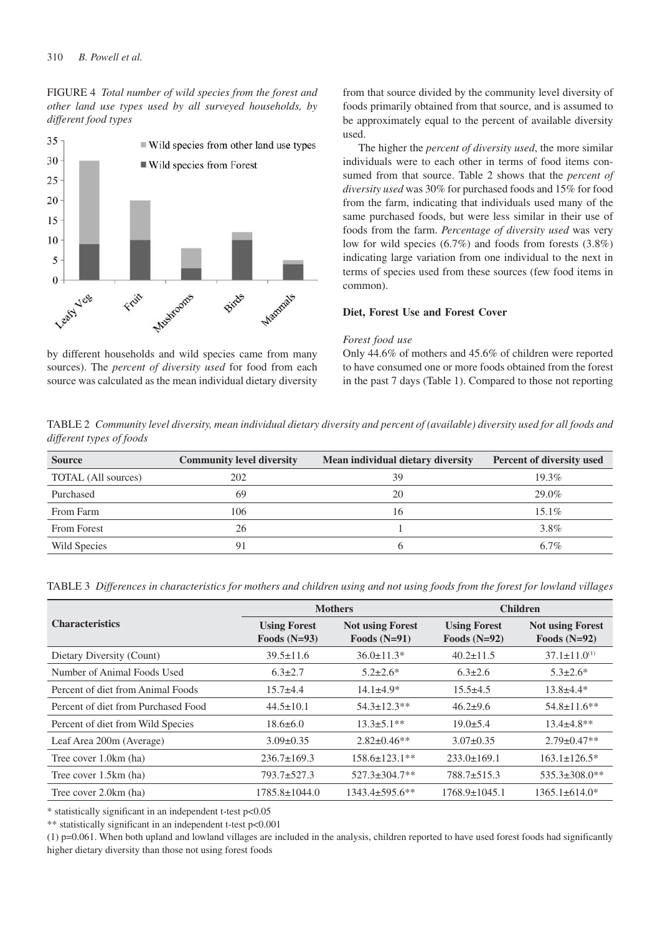FIGURE 4 *Total number of wild species from the forest and other land use types used by all surveyed households, by different food types*



by different households and wild species came from many sources). The *percent of diversity used* for food from each source was calculated as the mean individual dietary diversity

from that source divided by the community level diversity of foods primarily obtained from that source, and is assumed to be approximately equal to the percent of available diversity used.

The higher the *percent of diversity used*, the more similar individuals were to each other in terms of food items consumed from that source. Table 2 shows that the *percent of diversity used* was 30% for purchased foods and 15% for food from the farm, indicating that individuals used many of the same purchased foods, but were less similar in their use of foods from the farm. *Percentage of diversity used* was very low for wild species (6.7%) and foods from forests (3.8%) indicating large variation from one individual to the next in terms of species used from these sources (few food items in common).

# **Diet, Forest Use and Forest Cover**

#### *Forest food use*

Only 44.6% of mothers and 45.6% of children were reported to have consumed one or more foods obtained from the forest in the past 7 days (Table 1). Compared to those not reporting

TABLE 2 *Community level diversity, mean individual dietary diversity and percent of (available) diversity used for all foods and different types of foods* 

| <b>Source</b>       | <b>Community level diversity</b> | Mean individual dietary diversity | Percent of diversity used |
|---------------------|----------------------------------|-----------------------------------|---------------------------|
| TOTAL (All sources) | 202                              | 39                                | $19.3\%$                  |
| Purchased           | 69                               | 20                                | $29.0\%$                  |
| From Farm           | 106                              | 16                                | $15.1\%$                  |
| From Forest         | 26                               |                                   | 3.8%                      |
| Wild Species        | 91                               |                                   | 6.7%                      |
|                     |                                  |                                   |                           |

TABLE 3 *Differences in characteristics for mothers and children using and not using foods from the forest for lowland villages*

|                                     |                                       | <b>Mothers</b>                            | <b>Children</b>                       |                                           |  |
|-------------------------------------|---------------------------------------|-------------------------------------------|---------------------------------------|-------------------------------------------|--|
| <b>Characteristics</b>              | <b>Using Forest</b><br>Foods $(N=93)$ | <b>Not using Forest</b><br>Foods $(N=91)$ | <b>Using Forest</b><br>Foods $(N=92)$ | <b>Not using Forest</b><br>Foods $(N=92)$ |  |
| Dietary Diversity (Count)           | $39.5 \pm 11.6$                       | $36.0 \pm 11.3*$                          | $40.2 \pm 11.5$                       | $37.1 \pm 11.0^{(1)}$                     |  |
| Number of Animal Foods Used         | $6.3 \pm 2.7$                         | $5.2 \pm 2.6^*$                           | $6.3 \pm 2.6$                         | $5.3 \pm 2.6^*$                           |  |
| Percent of diet from Animal Foods   | $15.7 + 4.4$                          | $14.1\pm4.9*$                             | $15.5 + 4.5$                          | $13.8 + 4.4*$                             |  |
| Percent of diet from Purchased Food | $44.5 \pm 10.1$                       | $54.3 \pm 12.3$ **                        | $46.2 \pm 9.6$                        | $54.8 \pm 11.6$ **                        |  |
| Percent of diet from Wild Species   | $18.6 \pm 6.0$                        | $13.3 \pm 5.1**$                          | $19.0 \pm 5.4$                        | $13.4 \pm 4.8**$                          |  |
| Leaf Area 200m (Average)            | $3.09 \pm 0.35$                       | $2.82 \pm 0.46**$                         | $3.07 \pm 0.35$                       | $2.79 \pm 0.47**$                         |  |
| Tree cover 1.0km (ha)               | $236.7 \pm 169.3$                     | $158.6 \pm 123.1**$                       | $233.0 \pm 169.1$                     | $163.1 \pm 126.5^*$                       |  |
| Tree cover 1.5km (ha)               | $793.7 + 527.3$                       | $527.3 \pm 304.7**$                       | $788.7 \pm 515.3$                     | $535.3 \pm 308.0$ **                      |  |
| Tree cover 2.0km (ha)               | $1785.8 \pm 1044.0$                   | $1343.4 \pm 595.6$ **                     | $1768.9 \pm 1045.1$                   | $1365.1 \pm 614.0*$                       |  |

\* statistically significant in an independent t-test p<0.05

\*\* statistically significant in an independent t-test p<0.001

 $(1)$  p=0.061. When both upland and lowland villages are included in the analysis, children reported to have used forest foods had significantly higher dietary diversity than those not using forest foods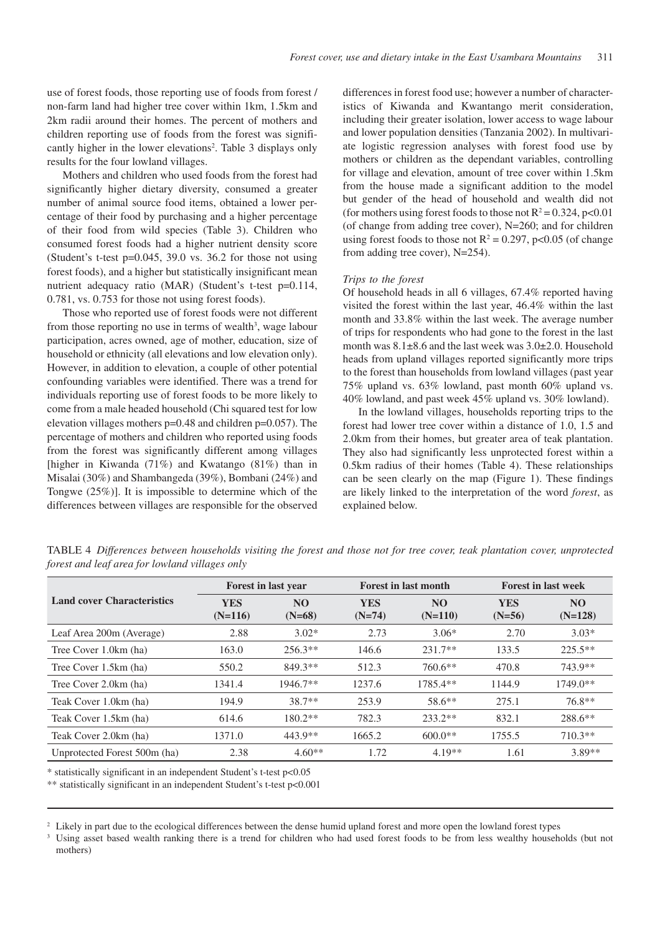use of forest foods, those reporting use of foods from forest / non-farm land had higher tree cover within 1km, 1.5km and 2km radii around their homes. The percent of mothers and children reporting use of foods from the forest was significantly higher in the lower elevations<sup>2</sup>. Table 3 displays only results for the four lowland villages.

Mothers and children who used foods from the forest had significantly higher dietary diversity, consumed a greater number of animal source food items, obtained a lower percentage of their food by purchasing and a higher percentage of their food from wild species (Table 3). Children who consumed forest foods had a higher nutrient density score (Student's t-test p=0.045, 39.0 vs. 36.2 for those not using forest foods), and a higher but statistically insignificant mean nutrient adequacy ratio (MAR) (Student's t-test p=0.114, 0.781, vs. 0.753 for those not using forest foods).

Those who reported use of forest foods were not different from those reporting no use in terms of wealth<sup>3</sup>, wage labour participation, acres owned, age of mother, education, size of household or ethnicity (all elevations and low elevation only). However, in addition to elevation, a couple of other potential confounding variables were identified. There was a trend for individuals reporting use of forest foods to be more likely to come from a male headed household (Chi squared test for low elevation villages mothers p=0.48 and children p=0.057). The percentage of mothers and children who reported using foods from the forest was significantly different among villages [higher in Kiwanda (71%) and Kwatango (81%) than in Misalai (30%) and Shambangeda (39%), Bombani (24%) and Tongwe (25%)]. It is impossible to determine which of the differences between villages are responsible for the observed

differences in forest food use; however a number of characteristics of Kiwanda and Kwantango merit consideration, including their greater isolation, lower access to wage labour and lower population densities (Tanzania 2002). In multivariate logistic regression analyses with forest food use by mothers or children as the dependant variables, controlling for village and elevation, amount of tree cover within 1.5km from the house made a significant addition to the model but gender of the head of household and wealth did not (for mothers using forest foods to those not  $R^2 = 0.324$ , p<0.01 (of change from adding tree cover), N=260; and for children using forest foods to those not  $R^2 = 0.297$ , p<0.05 (of change from adding tree cover), N=254).

#### *Trips to the forest*

Of household heads in all 6 villages, 67.4% reported having visited the forest within the last year, 46.4% within the last month and 33.8% within the last week. The average number of trips for respondents who had gone to the forest in the last month was 8.1±8.6 and the last week was 3.0±2.0. Household heads from upland villages reported significantly more trips to the forest than households from lowland villages (past year 75% upland vs. 63% lowland, past month 60% upland vs. 40% lowland, and past week 45% upland vs. 30% lowland).

In the lowland villages, households reporting trips to the forest had lower tree cover within a distance of 1.0, 1.5 and 2.0km from their homes, but greater area of teak plantation. They also had significantly less unprotected forest within a 0.5km radius of their homes (Table 4). These relationships can be seen clearly on the map (Figure 1). These findings are likely linked to the interpretation of the word *forest*, as explained below.

TABLE 4 *Differences between households visiting the forest and those not for tree cover, teak plantation cover, unprotected forest and leaf area for lowland villages only*

|                                   | <b>Forest in last year</b> |                            | <b>Forest in last month</b> |                        | <b>Forest in last week</b> |                  |
|-----------------------------------|----------------------------|----------------------------|-----------------------------|------------------------|----------------------------|------------------|
| <b>Land cover Characteristics</b> | <b>YES</b><br>$(N=116)$    | N <sub>O</sub><br>$(N=68)$ | <b>YES</b><br>$(N=74)$      | <b>NO</b><br>$(N=110)$ | <b>YES</b><br>$(N=56)$     | NO.<br>$(N=128)$ |
| Leaf Area 200m (Average)          | 2.88                       | $3.02*$                    | 2.73                        | $3.06*$                | 2.70                       | $3.03*$          |
| Tree Cover 1.0km (ha)             | 163.0                      | $256.3**$                  | 146.6                       | $231.7**$              | 133.5                      | $225.5**$        |
| Tree Cover 1.5km (ha)             | 550.2                      | $849.3**$                  | 512.3                       | 760.6**                | 470.8                      | 743.9**          |
| Tree Cover 2.0km (ha)             | 1341.4                     | $1946.7**$                 | 1237.6                      | 1785.4**               | 1144.9                     | $1749.0**$       |
| Teak Cover 1.0km (ha)             | 194.9                      | $38.7**$                   | 253.9                       | 58.6**                 | 275.1                      | $76.8**$         |
| Teak Cover 1.5km (ha)             | 614.6                      | $180.2**$                  | 782.3                       | $233.2**$              | 832.1                      | 288.6**          |
| Teak Cover 2.0km (ha)             | 1371.0                     | 443.9**                    | 1665.2                      | $600.0**$              | 1755.5                     | $710.3**$        |
| Unprotected Forest 500m (ha)      | 2.38                       | $4.60**$                   | 1.72                        | $4.19**$               | 1.61                       | $3.89**$         |

\* statistically significant in an independent Student's t-test p<0.05

\*\* statistically significant in an independent Student's t-test p<0.001

<sup>2</sup> Likely in part due to the ecological differences between the dense humid upland forest and more open the lowland forest types

<sup>3</sup> Using asset based wealth ranking there is a trend for children who had used forest foods to be from less wealthy households (but not mothers)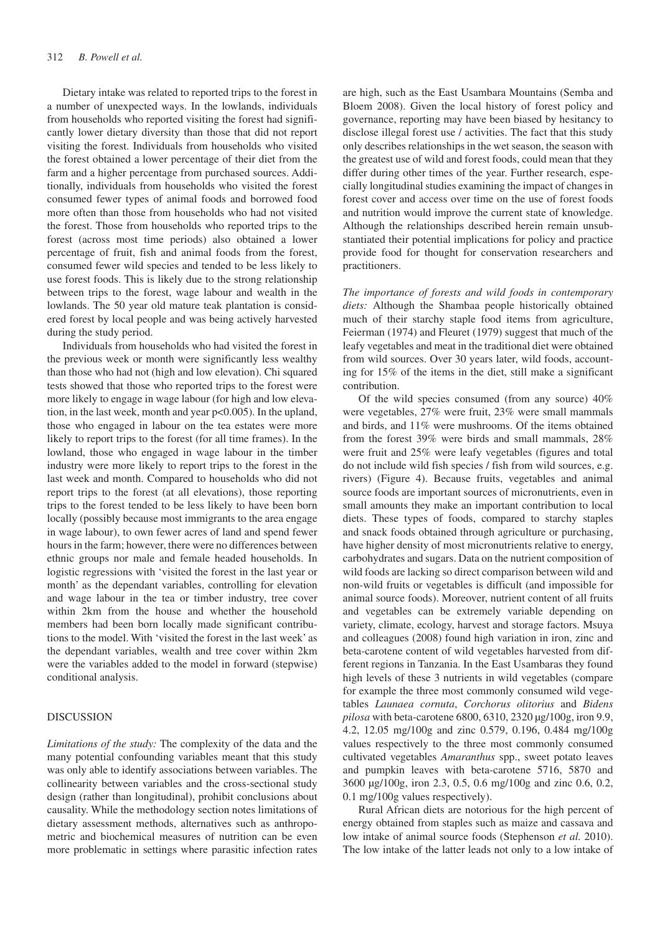Dietary intake was related to reported trips to the forest in a number of unexpected ways. In the lowlands, individuals from households who reported visiting the forest had significantly lower dietary diversity than those that did not report visiting the forest. Individuals from households who visited the forest obtained a lower percentage of their diet from the farm and a higher percentage from purchased sources. Additionally, individuals from households who visited the forest consumed fewer types of animal foods and borrowed food more often than those from households who had not visited the forest. Those from households who reported trips to the forest (across most time periods) also obtained a lower percentage of fruit, fish and animal foods from the forest, consumed fewer wild species and tended to be less likely to use forest foods. This is likely due to the strong relationship between trips to the forest, wage labour and wealth in the lowlands. The 50 year old mature teak plantation is considered forest by local people and was being actively harvested during the study period.

Individuals from households who had visited the forest in the previous week or month were significantly less wealthy than those who had not (high and low elevation). Chi squared tests showed that those who reported trips to the forest were more likely to engage in wage labour (for high and low elevation, in the last week, month and year p<0.005). In the upland, those who engaged in labour on the tea estates were more likely to report trips to the forest (for all time frames). In the lowland, those who engaged in wage labour in the timber industry were more likely to report trips to the forest in the last week and month. Compared to households who did not report trips to the forest (at all elevations), those reporting trips to the forest tended to be less likely to have been born locally (possibly because most immigrants to the area engage in wage labour), to own fewer acres of land and spend fewer hours in the farm; however, there were no differences between ethnic groups nor male and female headed households. In logistic regressions with 'visited the forest in the last year or month' as the dependant variables, controlling for elevation and wage labour in the tea or timber industry, tree cover within 2km from the house and whether the household members had been born locally made significant contributions to the model. With 'visited the forest in the last week' as the dependant variables, wealth and tree cover within 2km were the variables added to the model in forward (stepwise) conditional analysis.

#### DISCUSSION

*Limitations of the study:* The complexity of the data and the many potential confounding variables meant that this study was only able to identify associations between variables. The collinearity between variables and the cross-sectional study design (rather than longitudinal), prohibit conclusions about causality. While the methodology section notes limitations of dietary assessment methods, alternatives such as anthropometric and biochemical measures of nutrition can be even more problematic in settings where parasitic infection rates

are high, such as the East Usambara Mountains (Semba and Bloem 2008). Given the local history of forest policy and governance, reporting may have been biased by hesitancy to disclose illegal forest use / activities. The fact that this study only describes relationships in the wet season, the season with the greatest use of wild and forest foods, could mean that they differ during other times of the year. Further research, especially longitudinal studies examining the impact of changes in forest cover and access over time on the use of forest foods and nutrition would improve the current state of knowledge. Although the relationships described herein remain unsubstantiated their potential implications for policy and practice provide food for thought for conservation researchers and practitioners.

*The importance of forests and wild foods in contemporary diets:* Although the Shambaa people historically obtained much of their starchy staple food items from agriculture, Feierman (1974) and Fleuret (1979) suggest that much of the leafy vegetables and meat in the traditional diet were obtained from wild sources. Over 30 years later, wild foods, accounting for 15% of the items in the diet, still make a significant contribution.

Of the wild species consumed (from any source) 40% were vegetables, 27% were fruit, 23% were small mammals and birds, and 11% were mushrooms. Of the items obtained from the forest 39% were birds and small mammals, 28% were fruit and 25% were leafy vegetables (figures and total do not include wild fish species / fish from wild sources, e.g. rivers) (Figure 4). Because fruits, vegetables and animal source foods are important sources of micronutrients, even in small amounts they make an important contribution to local diets. These types of foods, compared to starchy staples and snack foods obtained through agriculture or purchasing, have higher density of most micronutrients relative to energy, carbohydrates and sugars. Data on the nutrient composition of wild foods are lacking so direct comparison between wild and non-wild fruits or vegetables is difficult (and impossible for animal source foods). Moreover, nutrient content of all fruits and vegetables can be extremely variable depending on variety, climate, ecology, harvest and storage factors. Msuya and colleagues (2008) found high variation in iron, zinc and beta-carotene content of wild vegetables harvested from different regions in Tanzania. In the East Usambaras they found high levels of these 3 nutrients in wild vegetables (compare for example the three most commonly consumed wild vegetables *Launaea cornuta*, *Corchorus olitorius* and *Bidens pilosa* with beta-carotene 6800, 6310, 2320 µg/100g, iron 9.9, 4.2, 12.05 mg/100g and zinc 0.579, 0.196, 0.484 mg/100g values respectively to the three most commonly consumed cultivated vegetables *Amaranthus* spp., sweet potato leaves and pumpkin leaves with beta-carotene 5716, 5870 and 3600 µg/100g, iron 2.3, 0.5, 0.6 mg/100g and zinc 0.6, 0.2, 0.1 mg/100g values respectively).

Rural African diets are notorious for the high percent of energy obtained from staples such as maize and cassava and low intake of animal source foods (Stephenson *et al.* 2010). The low intake of the latter leads not only to a low intake of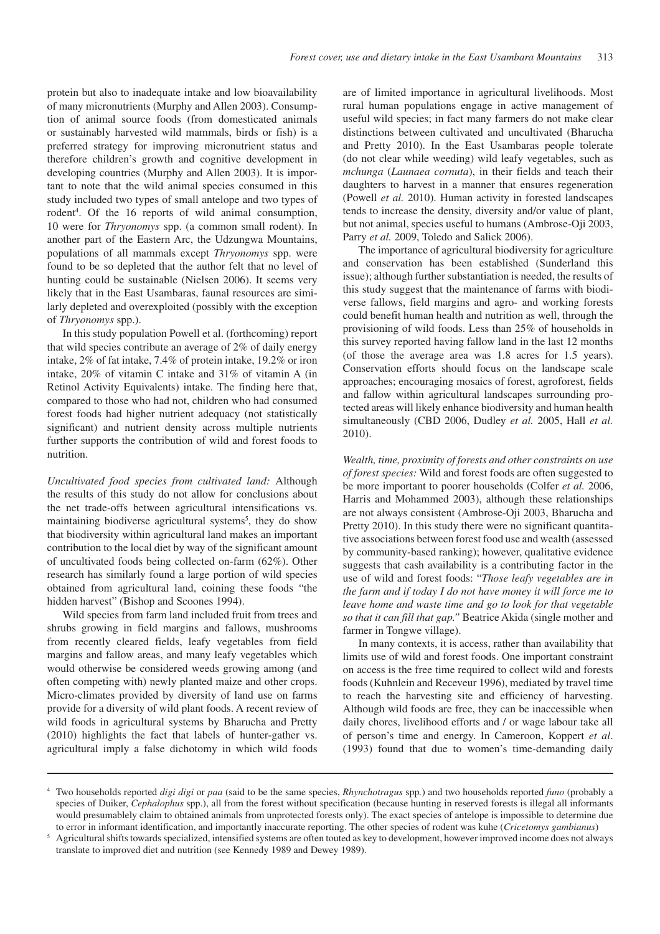protein but also to inadequate intake and low bioavailability of many micronutrients (Murphy and Allen 2003). Consumption of animal source foods (from domesticated animals or sustainably harvested wild mammals, birds or fish) is a preferred strategy for improving micronutrient status and therefore children's growth and cognitive development in developing countries (Murphy and Allen 2003). It is important to note that the wild animal species consumed in this study included two types of small antelope and two types of rodent<sup>4</sup>. Of the 16 reports of wild animal consumption, 10 were for *Thryonomys* spp. (a common small rodent). In another part of the Eastern Arc, the Udzungwa Mountains, populations of all mammals except *Thryonomys* spp. were found to be so depleted that the author felt that no level of hunting could be sustainable (Nielsen 2006). It seems very likely that in the East Usambaras, faunal resources are similarly depleted and overexploited (possibly with the exception of *Thryonomys* spp.).

In this study population Powell et al. (forthcoming) report that wild species contribute an average of 2% of daily energy intake, 2% of fat intake, 7.4% of protein intake, 19.2% or iron intake, 20% of vitamin C intake and 31% of vitamin A (in Retinol Activity Equivalents) intake. The finding here that, compared to those who had not, children who had consumed forest foods had higher nutrient adequacy (not statistically significant) and nutrient density across multiple nutrients further supports the contribution of wild and forest foods to nutrition.

*Uncultivated food species from cultivated land:* Although the results of this study do not allow for conclusions about the net trade-offs between agricultural intensifications vs. maintaining biodiverse agricultural systems<sup>5</sup>, they do show that biodiversity within agricultural land makes an important contribution to the local diet by way of the significant amount of uncultivated foods being collected on-farm (62%). Other research has similarly found a large portion of wild species obtained from agricultural land, coining these foods "the hidden harvest" (Bishop and Scoones 1994).

Wild species from farm land included fruit from trees and shrubs growing in field margins and fallows, mushrooms from recently cleared fields, leafy vegetables from field margins and fallow areas, and many leafy vegetables which would otherwise be considered weeds growing among (and often competing with) newly planted maize and other crops. Micro-climates provided by diversity of land use on farms provide for a diversity of wild plant foods. A recent review of wild foods in agricultural systems by Bharucha and Pretty (2010) highlights the fact that labels of hunter-gather vs. agricultural imply a false dichotomy in which wild foods

are of limited importance in agricultural livelihoods. Most rural human populations engage in active management of useful wild species; in fact many farmers do not make clear distinctions between cultivated and uncultivated (Bharucha and Pretty 2010). In the East Usambaras people tolerate (do not clear while weeding) wild leafy vegetables, such as *mchunga* (*Launaea cornuta*), in their fields and teach their daughters to harvest in a manner that ensures regeneration (Powell *et al.* 2010). Human activity in forested landscapes tends to increase the density, diversity and/or value of plant, but not animal, species useful to humans (Ambrose-Oji 2003, Parry et al. 2009, Toledo and Salick 2006).

The importance of agricultural biodiversity for agriculture and conservation has been established (Sunderland this issue); although further substantiation is needed, the results of this study suggest that the maintenance of farms with biodiverse fallows, field margins and agro- and working forests could benefit human health and nutrition as well, through the provisioning of wild foods. Less than 25% of households in this survey reported having fallow land in the last 12 months (of those the average area was 1.8 acres for 1.5 years). Conservation efforts should focus on the landscape scale approaches; encouraging mosaics of forest, agroforest, fields and fallow within agricultural landscapes surrounding protected areas will likely enhance biodiversity and human health simultaneously (CBD 2006, Dudley *et al.* 2005, Hall *et al.* 2010).

*Wealth, time, proximity of forests and other constraints on use of forest species:* Wild and forest foods are often suggested to be more important to poorer households (Colfer *et al.* 2006, Harris and Mohammed 2003), although these relationships are not always consistent (Ambrose-Oji 2003, Bharucha and Pretty 2010). In this study there were no significant quantitative associations between forest food use and wealth (assessed by community-based ranking); however, qualitative evidence suggests that cash availability is a contributing factor in the use of wild and forest foods: "*Those leafy vegetables are in the farm and if today I do not have money it will force me to leave home and waste time and go to look for that vegetable so that it can fill that gap."* Beatrice Akida (single mother and farmer in Tongwe village).

In many contexts, it is access, rather than availability that limits use of wild and forest foods. One important constraint on access is the free time required to collect wild and forests foods (Kuhnlein and Receveur 1996), mediated by travel time to reach the harvesting site and efficiency of harvesting. Although wild foods are free, they can be inaccessible when daily chores, livelihood efforts and / or wage labour take all of person's time and energy. In Cameroon, Koppert *et al*. (1993) found that due to women's time-demanding daily

<sup>4</sup> Two households reported *digi digi* or *paa* (said to be the same species, *Rhynchotragus* spp*.*) and two households reported *funo* (probably a species of Duiker, *Cephalophus* spp.), all from the forest without specification (because hunting in reserved forests is illegal all informants would presumablely claim to obtained animals from unprotected forests only). The exact species of antelope is impossible to determine due to error in informant identification, and importantly inaccurate reporting. The other species of rodent was kuhe (*Cricetomys gambianus*)

<sup>5</sup> Agricultural shifts towards specialized, intensified systems are often touted as key to development, however improved income does not always translate to improved diet and nutrition (see Kennedy 1989 and Dewey 1989).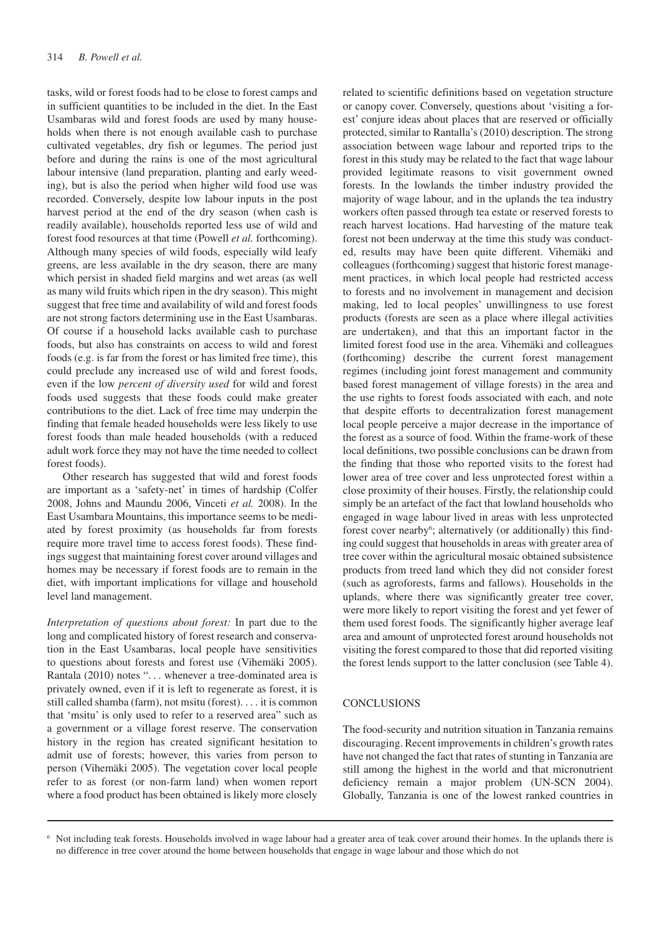tasks, wild or forest foods had to be close to forest camps and in sufficient quantities to be included in the diet. In the East Usambaras wild and forest foods are used by many households when there is not enough available cash to purchase cultivated vegetables, dry fish or legumes. The period just before and during the rains is one of the most agricultural labour intensive (land preparation, planting and early weeding), but is also the period when higher wild food use was recorded. Conversely, despite low labour inputs in the post harvest period at the end of the dry season (when cash is readily available), households reported less use of wild and forest food resources at that time (Powell *et al.* forthcoming). Although many species of wild foods, especially wild leafy greens, are less available in the dry season, there are many which persist in shaded field margins and wet areas (as well as many wild fruits which ripen in the dry season). This might suggest that free time and availability of wild and forest foods are not strong factors determining use in the East Usambaras. Of course if a household lacks available cash to purchase foods, but also has constraints on access to wild and forest foods (e.g. is far from the forest or has limited free time), this could preclude any increased use of wild and forest foods, even if the low *percent of diversity used* for wild and forest foods used suggests that these foods could make greater contributions to the diet. Lack of free time may underpin the finding that female headed households were less likely to use forest foods than male headed households (with a reduced adult work force they may not have the time needed to collect forest foods).

Other research has suggested that wild and forest foods are important as a 'safety-net' in times of hardship (Colfer 2008, Johns and Maundu 2006, Vinceti *et al.* 2008). In the East Usambara Mountains, this importance seems to be mediated by forest proximity (as households far from forests require more travel time to access forest foods). These findings suggest that maintaining forest cover around villages and homes may be necessary if forest foods are to remain in the diet, with important implications for village and household level land management.

*Interpretation of questions about forest:* In part due to the long and complicated history of forest research and conservation in the East Usambaras, local people have sensitivities to questions about forests and forest use (Vihemäki 2005). Rantala (2010) notes ". . . whenever a tree-dominated area is privately owned, even if it is left to regenerate as forest, it is still called shamba (farm), not msitu (forest). . . . it is common that 'msitu' is only used to refer to a reserved area" such as a government or a village forest reserve. The conservation history in the region has created significant hesitation to admit use of forests; however, this varies from person to person (Vihemäki 2005). The vegetation cover local people refer to as forest (or non-farm land) when women report where a food product has been obtained is likely more closely related to scientific definitions based on vegetation structure or canopy cover. Conversely, questions about 'visiting a forest' conjure ideas about places that are reserved or officially protected, similar to Rantalla's (2010) description. The strong association between wage labour and reported trips to the forest in this study may be related to the fact that wage labour provided legitimate reasons to visit government owned forests. In the lowlands the timber industry provided the majority of wage labour, and in the uplands the tea industry workers often passed through tea estate or reserved forests to reach harvest locations. Had harvesting of the mature teak forest not been underway at the time this study was conducted, results may have been quite different. Vihemäki and colleagues (forthcoming) suggest that historic forest management practices, in which local people had restricted access to forests and no involvement in management and decision making, led to local peoples' unwillingness to use forest products (forests are seen as a place where illegal activities are undertaken), and that this an important factor in the limited forest food use in the area. Vihemäki and colleagues (forthcoming) describe the current forest management regimes (including joint forest management and community based forest management of village forests) in the area and the use rights to forest foods associated with each, and note that despite efforts to decentralization forest management local people perceive a major decrease in the importance of the forest as a source of food. Within the frame-work of these local definitions, two possible conclusions can be drawn from the finding that those who reported visits to the forest had lower area of tree cover and less unprotected forest within a close proximity of their houses. Firstly, the relationship could simply be an artefact of the fact that lowland households who engaged in wage labour lived in areas with less unprotected forest cover nearby<sup>6</sup>; alternatively (or additionally) this finding could suggest that households in areas with greater area of tree cover within the agricultural mosaic obtained subsistence products from treed land which they did not consider forest (such as agroforests, farms and fallows). Households in the uplands, where there was significantly greater tree cover, were more likely to report visiting the forest and yet fewer of them used forest foods. The significantly higher average leaf area and amount of unprotected forest around households not visiting the forest compared to those that did reported visiting the forest lends support to the latter conclusion (see Table 4).

#### **CONCLUSIONS**

The food-security and nutrition situation in Tanzania remains discouraging. Recent improvements in children's growth rates have not changed the fact that rates of stunting in Tanzania are still among the highest in the world and that micronutrient deficiency remain a major problem (UN-SCN 2004). Globally, Tanzania is one of the lowest ranked countries in

<sup>&</sup>lt;sup>6</sup> Not including teak forests. Households involved in wage labour had a greater area of teak cover around their homes. In the uplands there is no difference in tree cover around the home between households that engage in wage labour and those which do not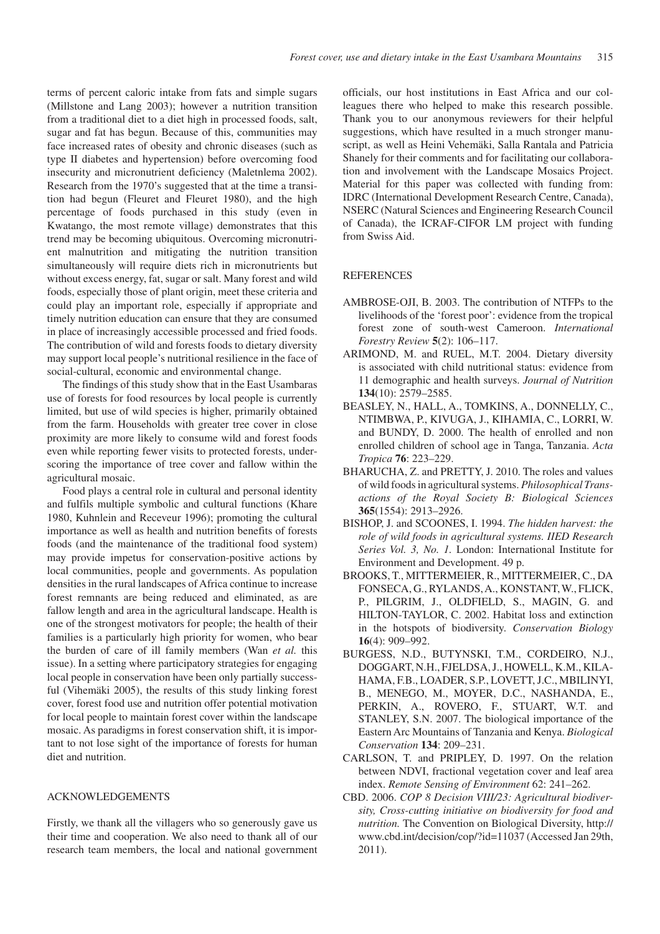terms of percent caloric intake from fats and simple sugars (Millstone and Lang 2003); however a nutrition transition from a traditional diet to a diet high in processed foods, salt, sugar and fat has begun. Because of this, communities may face increased rates of obesity and chronic diseases (such as type II diabetes and hypertension) before overcoming food insecurity and micronutrient deficiency (Maletnlema 2002). Research from the 1970's suggested that at the time a transition had begun (Fleuret and Fleuret 1980), and the high percentage of foods purchased in this study (even in Kwatango, the most remote village) demonstrates that this trend may be becoming ubiquitous. Overcoming micronutrient malnutrition and mitigating the nutrition transition simultaneously will require diets rich in micronutrients but without excess energy, fat, sugar or salt. Many forest and wild foods, especially those of plant origin, meet these criteria and could play an important role, especially if appropriate and timely nutrition education can ensure that they are consumed in place of increasingly accessible processed and fried foods. The contribution of wild and forests foods to dietary diversity may support local people's nutritional resilience in the face of social-cultural, economic and environmental change.

The findings of this study show that in the East Usambaras use of forests for food resources by local people is currently limited, but use of wild species is higher, primarily obtained from the farm. Households with greater tree cover in close proximity are more likely to consume wild and forest foods even while reporting fewer visits to protected forests, underscoring the importance of tree cover and fallow within the agricultural mosaic.

Food plays a central role in cultural and personal identity and fulfils multiple symbolic and cultural functions (Khare 1980, Kuhnlein and Receveur 1996); promoting the cultural importance as well as health and nutrition benefits of forests foods (and the maintenance of the traditional food system) may provide impetus for conservation-positive actions by local communities, people and governments. As population densities in the rural landscapes of Africa continue to increase forest remnants are being reduced and eliminated, as are fallow length and area in the agricultural landscape. Health is one of the strongest motivators for people; the health of their families is a particularly high priority for women, who bear the burden of care of ill family members (Wan *et al.* this issue). In a setting where participatory strategies for engaging local people in conservation have been only partially successful (Vihemäki 2005), the results of this study linking forest cover, forest food use and nutrition offer potential motivation for local people to maintain forest cover within the landscape mosaic. As paradigms in forest conservation shift, it is important to not lose sight of the importance of forests for human diet and nutrition.

#### ACKNOWLEDGEMENTS

Firstly, we thank all the villagers who so generously gave us their time and cooperation. We also need to thank all of our research team members, the local and national government officials, our host institutions in East Africa and our colleagues there who helped to make this research possible. Thank you to our anonymous reviewers for their helpful suggestions, which have resulted in a much stronger manuscript, as well as Heini Vehemäki, Salla Rantala and Patricia Shanely for their comments and for facilitating our collaboration and involvement with the Landscape Mosaics Project. Material for this paper was collected with funding from: IDRC (International Development Research Centre, Canada), NSERC (Natural Sciences and Engineering Research Council of Canada), the ICRAF-CIFOR LM project with funding from Swiss Aid.

#### **REFERENCES**

- AMBROSE-OJI, B. 2003. The contribution of NTFPs to the livelihoods of the 'forest poor': evidence from the tropical forest zone of south-west Cameroon. *International Forestry Review* **5**(2): 106–117.
- ARIMOND, M. and RUEL, M.T. 2004. Dietary diversity is associated with child nutritional status: evidence from 11 demographic and health surveys. *Journal of Nutrition* **134**(10): 2579–2585.
- BEASLEY, N., HALL, A., TOMKINS, A., DONNELLY, C., NTIMBWA, P., KIVUGA, J., KIHAMIA, C., LORRI, W. and BUNDY, D. 2000. The health of enrolled and non enrolled children of school age in Tanga, Tanzania. *Acta Tropica* **76**: 223–229.
- BHARUCHA, Z. and PRETTY, J. 2010. The roles and values of wild foods in agricultural systems. *Philosophical Transactions of the Royal Society B: Biological Sciences* **365**(1554): 2913–2926.
- BISHOP, J. and SCOONES, I. 1994. *The hidden harvest: the role of wild foods in agricultural systems. IIED Research Series Vol. 3, No. 1.* London: International Institute for Environment and Development. 49 p.
- BROOKS, T., MITTERMEIER, R., MITTERMEIER, C., DA FONSECA, G., RYLANDS, A., KONSTANT, W., FLICK, P., PILGRIM, J., OLDFIELD, S., MAGIN, G. and HILTON-TAYLOR, C. 2002. Habitat loss and extinction in the hotspots of biodiversity. *Conservation Biology* **16**(4): 909–992.
- BURGESS, N.D., BUTYNSKI, T.M., CORDEIRO, N.J., DOGGART, N.H., FJELDSA, J., HOWELL, K.M., KILA-HAMA, F.B., LOADER, S.P., LOVETT, J.C., MBILINYI, B., MENEGO, M., MOYER, D.C., NASHANDA, E., PERKIN, A., ROVERO, F., STUART, W.T. and STANLEY, S.N. 2007. The biological importance of the Eastern Arc Mountains of Tanzania and Kenya. *Biological Conservation* **134**: 209–231.
- CARLSON, T. and PRIPLEY, D. 1997. On the relation between NDVI, fractional vegetation cover and leaf area index. *Remote Sensing of Environment* 62: 241–262.
- CBD. 2006. *COP 8 Decision VIII/23: Agricultural biodiversity, Cross-cutting initiative on biodiversity for food and nutrition.* The Convention on Biological Diversity, http:// www.cbd.int/decision/cop/?id=11037 (Accessed Jan 29th, 2011).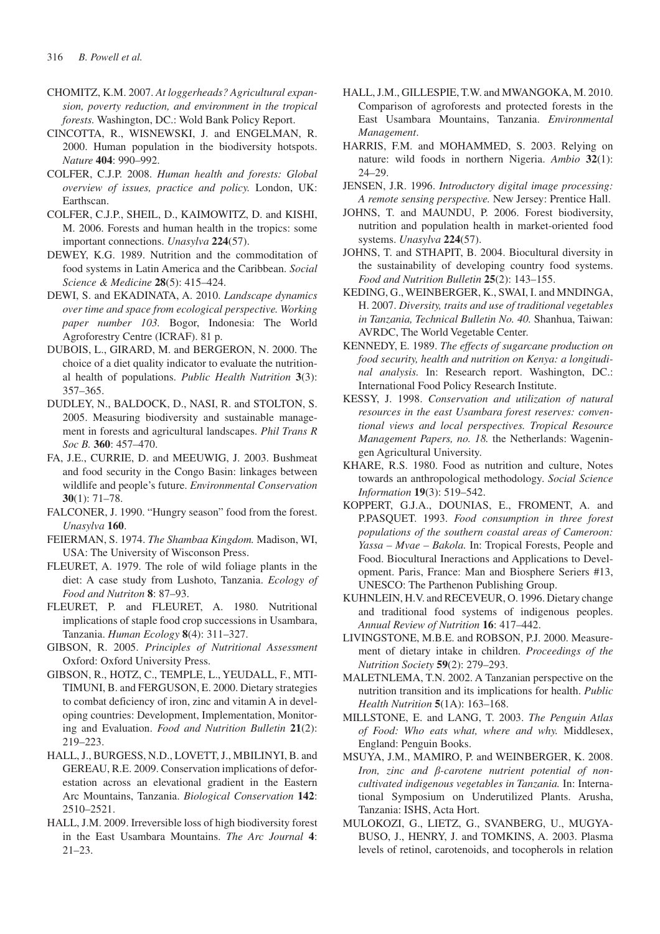- CHOMITZ, K.M. 2007. *At loggerheads? Agricultural expansion, poverty reduction, and environment in the tropical forests.* Washington, DC.: Wold Bank Policy Report.
- CINCOTTA, R., WISNEWSKI, J. and ENGELMAN, R. 2000. Human population in the biodiversity hotspots. *Nature* **404**: 990–992.
- COLFER, C.J.P. 2008. *Human health and forests: Global overview of issues, practice and policy.* London, UK: Earthscan.
- COLFER, C.J.P., SHEIL, D., KAIMOWITZ, D. and KISHI, M. 2006. Forests and human health in the tropics: some important connections. *Unasylva* **224**(57).
- DEWEY, K.G. 1989. Nutrition and the commoditation of food systems in Latin America and the Caribbean. *Social Science & Medicine* **28**(5): 415–424.
- DEWI, S. and EKADINATA, A. 2010. *Landscape dynamics over time and space from ecological perspective. Working paper number 103.* Bogor, Indonesia: The World Agroforestry Centre (ICRAF). 81 p.
- DUBOIS, L., GIRARD, M. and BERGERON, N. 2000. The choice of a diet quality indicator to evaluate the nutritional health of populations. *Public Health Nutrition* **3**(3): 357–365.
- DUDLEY, N., BALDOCK, D., NASI, R. and STOLTON, S. 2005. Measuring biodiversity and sustainable management in forests and agricultural landscapes. *Phil Trans R Soc B.* **360**: 457–470.
- FA, J.E., CURRIE, D. and MEEUWIG, J. 2003. Bushmeat and food security in the Congo Basin: linkages between wildlife and people's future. *Environmental Conservation* **30**(1): 71–78.
- FALCONER, J. 1990. "Hungry season" food from the forest. *Unasylva* **160**.
- FEIERMAN, S. 1974. *The Shambaa Kingdom.* Madison, WI, USA: The University of Wisconson Press.
- FLEURET, A. 1979. The role of wild foliage plants in the diet: A case study from Lushoto, Tanzania. *Ecology of Food and Nutriton* **8**: 87–93.
- FLEURET, P. and FLEURET, A. 1980. Nutritional implications of staple food crop successions in Usambara, Tanzania. *Human Ecology* **8**(4): 311–327.
- GIBSON, R. 2005. *Principles of Nutritional Assessment*  Oxford: Oxford University Press.
- GIBSON, R., HOTZ, C., TEMPLE, L., YEUDALL, F., MTI-TIMUNI, B. and FERGUSON, E. 2000. Dietary strategies to combat deficiency of iron, zinc and vitamin A in developing countries: Development, Implementation, Monitoring and Evaluation. *Food and Nutrition Bulletin* **21**(2): 219–223.
- HALL, J., BURGESS, N.D., LOVETT, J., MBILINYI, B. and GEREAU, R.E. 2009. Conservation implications of deforestation across an elevational gradient in the Eastern Arc Mountains, Tanzania. *Biological Conservation* **142**: 2510–2521.
- HALL, J.M. 2009. Irreversible loss of high biodiversity forest in the East Usambara Mountains. *The Arc Journal* **4**: 21–23.
- HALL, J.M., GILLESPIE, T.W. and MWANGOKA, M. 2010. Comparison of agroforests and protected forests in the East Usambara Mountains, Tanzania. *Environmental Management*.
- HARRIS, F.M. and MOHAMMED, S. 2003. Relying on nature: wild foods in northern Nigeria. *Ambio* **32**(1): 24–29.
- JENSEN, J.R. 1996. *Introductory digital image processing: A remote sensing perspective.* New Jersey: Prentice Hall.
- JOHNS, T. and MAUNDU, P. 2006. Forest biodiversity, nutrition and population health in market-oriented food systems. *Unasylva* **224**(57).
- JOHNS, T. and STHAPIT, B. 2004. Biocultural diversity in the sustainability of developing country food systems. *Food and Nutrition Bulletin* **25**(2): 143–155.
- KEDING, G., WEINBERGER, K., SWAI, I. and MNDINGA, H. 2007. *Diversity, traits and use of traditional vegetables in Tanzania, Technical Bulletin No. 40.* Shanhua, Taiwan: AVRDC, The World Vegetable Center.
- KENNEDY, E. 1989. *The effects of sugarcane production on food security, health and nutrition on Kenya: a longitudinal analysis.* In: Research report. Washington, DC.: International Food Policy Research Institute.
- KESSY, J. 1998. *Conservation and utilization of natural resources in the east Usambara forest reserves: conventional views and local perspectives. Tropical Resource Management Papers, no. 18.* the Netherlands: Wageningen Agricultural University.
- KHARE, R.S. 1980. Food as nutrition and culture, Notes towards an anthropological methodology. *Social Science Information* **19**(3): 519–542.
- KOPPERT, G.J.A., DOUNIAS, E., FROMENT, A. and P.PASQUET. 1993. *Food consumption in three forest populations of the southern coastal areas of Cameroon: Yassa – Mvae – Bakola.* In: Tropical Forests, People and Food. Biocultural Ineractions and Applications to Development. Paris, France: Man and Biosphere Seriers #13, UNESCO: The Parthenon Publishing Group.
- KUHNLEIN, H.V. and RECEVEUR, O. 1996. Dietary change and traditional food systems of indigenous peoples. *Annual Review of Nutrition* **16**: 417–442.
- LIVINGSTONE, M.B.E. and ROBSON, P.J. 2000. Measurement of dietary intake in children. *Proceedings of the Nutrition Society* **59**(2): 279–293.
- MALETNLEMA, T.N. 2002. A Tanzanian perspective on the nutrition transition and its implications for health. *Public Health Nutrition* **5**(1A): 163–168.
- MILLSTONE, E. and LANG, T. 2003. *The Penguin Atlas of Food: Who eats what, where and why.* Middlesex, England: Penguin Books.
- MSUYA, J.M., MAMIRO, P. and WEINBERGER, K. 2008. *Iron, zinc and β-carotene nutrient potential of noncultivated indigenous vegetables in Tanzania.* In: International Symposium on Underutilized Plants. Arusha, Tanzania: ISHS, Acta Hort.
- MULOKOZI, G., LIETZ, G., SVANBERG, U., MUGYA-BUSO, J., HENRY, J. and TOMKINS, A. 2003. Plasma levels of retinol, carotenoids, and tocopherols in relation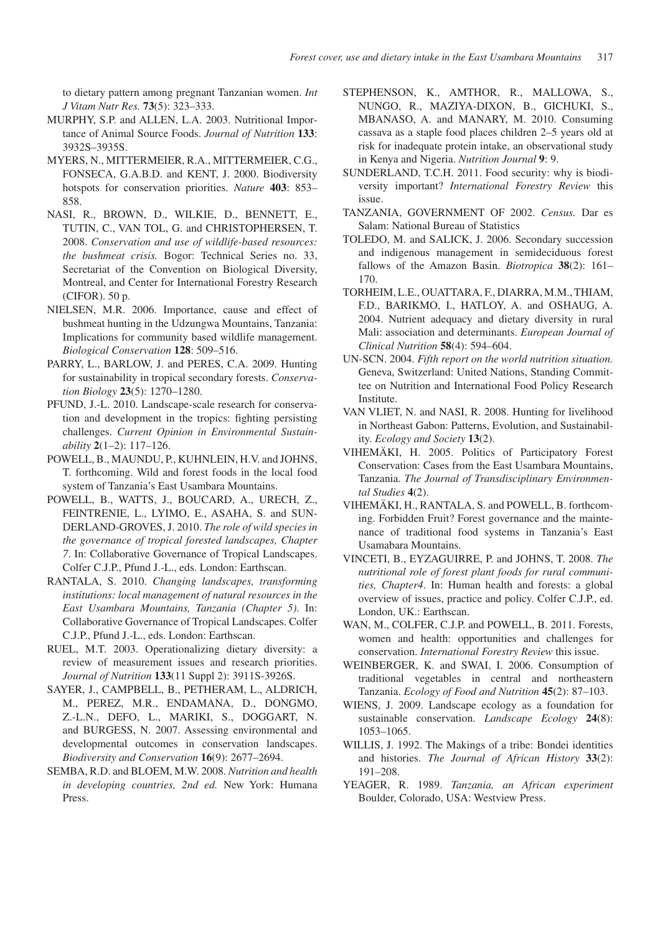to dietary pattern among pregnant Tanzanian women. *Int J Vitam Nutr Res.* **73**(5): 323–333.

- MURPHY, S.P. and ALLEN, L.A. 2003. Nutritional Importance of Animal Source Foods. *Journal of Nutrition* **133**: 3932S–3935S.
- MYERS, N., MITTERMEIER, R.A., MITTERMEIER, C.G., FONSECA, G.A.B.D. and KENT, J. 2000. Biodiversity hotspots for conservation priorities. *Nature* **403**: 853– 858.
- NASI, R., BROWN, D., WILKIE, D., BENNETT, E., TUTIN, C., VAN TOL, G. and CHRISTOPHERSEN, T. 2008. *Conservation and use of wildlife-based resources: the bushmeat crisis.* Bogor: Technical Series no. 33, Secretariat of the Convention on Biological Diversity, Montreal, and Center for International Forestry Research (CIFOR). 50 p.
- NIELSEN, M.R. 2006. Importance, cause and effect of bushmeat hunting in the Udzungwa Mountains, Tanzania: Implications for community based wildlife management. *Biological Conservation* **128**: 509–516.
- PARRY, L., BARLOW, J. and PERES, C.A. 2009. Hunting for sustainability in tropical secondary forests. *Conservation Biology* **23**(5): 1270–1280.
- PFUND, J.-L. 2010. Landscape-scale research for conservation and development in the tropics: fighting persisting challenges. *Current Opinion in Environmental Sustainability* **2**(1–2): 117–126.
- POWELL, B., MAUNDU, P., KUHNLEIN, H.V. and JOHNS, T. forthcoming. Wild and forest foods in the local food system of Tanzania's East Usambara Mountains.
- POWELL, B., WATTS, J., BOUCARD, A., URECH, Z., FEINTRENIE, L., LYIMO, E., ASAHA, S. and SUN-DERLAND-GROVES, J. 2010. *The role of wild species in the governance of tropical forested landscapes, Chapter 7*. In: Collaborative Governance of Tropical Landscapes. Colfer C.J.P., Pfund J.-L., eds. London: Earthscan.
- RANTALA, S. 2010. *Changing landscapes, transforming institutions: local management of natural resources in the East Usambara Mountains, Tanzania (Chapter 5)*. In: Collaborative Governance of Tropical Landscapes. Colfer C.J.P., Pfund J.-L., eds. London: Earthscan.
- RUEL, M.T. 2003. Operationalizing dietary diversity: a review of measurement issues and research priorities. *Journal of Nutrition* **133**(11 Suppl 2): 3911S-3926S.
- SAYER, J., CAMPBELL, B., PETHERAM, L., ALDRICH, M., PEREZ, M.R., ENDAMANA, D., DONGMO, Z.-L.N., DEFO, L., MARIKI, S., DOGGART, N. and BURGESS, N. 2007. Assessing environmental and developmental outcomes in conservation landscapes. *Biodiversity and Conservation* **16**(9): 2677–2694.
- SEMBA, R.D. and BLOEM, M.W. 2008. *Nutrition and health in developing countries, 2nd ed.* New York: Humana Press.
- STEPHENSON, K., AMTHOR, R., MALLOWA, S., NUNGO, R., MAZIYA-DIXON, B., GICHUKI, S., MBANASO, A. and MANARY, M. 2010. Consuming cassava as a staple food places children 2–5 years old at risk for inadequate protein intake, an observational study in Kenya and Nigeria. *Nutrition Journal* **9**: 9.
- SUNDERLAND, T.C.H. 2011. Food security: why is biodiversity important? *International Forestry Review* this issue.
- TANZANIA, GOVERNMENT OF 2002. *Census.* Dar es Salam: National Bureau of Statistics
- TOLEDO, M. and SALICK, J. 2006. Secondary succession and indigenous management in semideciduous forest fallows of the Amazon Basin. *Biotropica* **38**(2): 161– 170.
- TORHEIM, L.E., OUATTARA, F., DIARRA, M.M., THIAM, F.D., BARIKMO, I., HATLOY, A. and OSHAUG, A. 2004. Nutrient adequacy and dietary diversity in rural Mali: association and determinants. *European Journal of Clinical Nutrition* **58**(4): 594–604.
- UN-SCN. 2004. *Fifth report on the world nutrition situation.* Geneva, Switzerland: United Nations, Standing Committee on Nutrition and International Food Policy Research **Institute**
- VAN VLIET, N. and NASI, R. 2008. Hunting for livelihood in Northeast Gabon: Patterns, Evolution, and Sustainability. *Ecology and Society* **13**(2).
- VIHEMÄKI, H. 2005. Politics of Participatory Forest Conservation: Cases from the East Usambara Mountains, Tanzania. *The Journal of Transdisciplinary Environmental Studies* **4**(2).
- VIHEMÄKI, H., RANTALA, S. and POWELL, B. forthcoming. Forbidden Fruit? Forest governance and the maintenance of traditional food systems in Tanzania's East Usamabara Mountains.
- VINCETI, B., EYZAGUIRRE, P. and JOHNS, T. 2008. *The nutritional role of forest plant foods for rural communities, Chapter4*. In: Human health and forests: a global overview of issues, practice and policy. Colfer C.J.P., ed. London, UK.: Earthscan.
- WAN, M., COLFER, C.J.P. and POWELL, B. 2011. Forests, women and health: opportunities and challenges for conservation. *International Forestry Review* this issue.
- WEINBERGER, K. and SWAI, I. 2006. Consumption of traditional vegetables in central and northeastern Tanzania. *Ecology of Food and Nutrition* **45**(2): 87–103.
- WIENS, J. 2009. Landscape ecology as a foundation for sustainable conservation. *Landscape Ecology* **24**(8): 1053–1065.
- WILLIS, J. 1992. The Makings of a tribe: Bondei identities and histories. *The Journal of African History* **33**(2): 191–208.
- YEAGER, R. 1989. *Tanzania, an African experiment*  Boulder, Colorado, USA: Westview Press.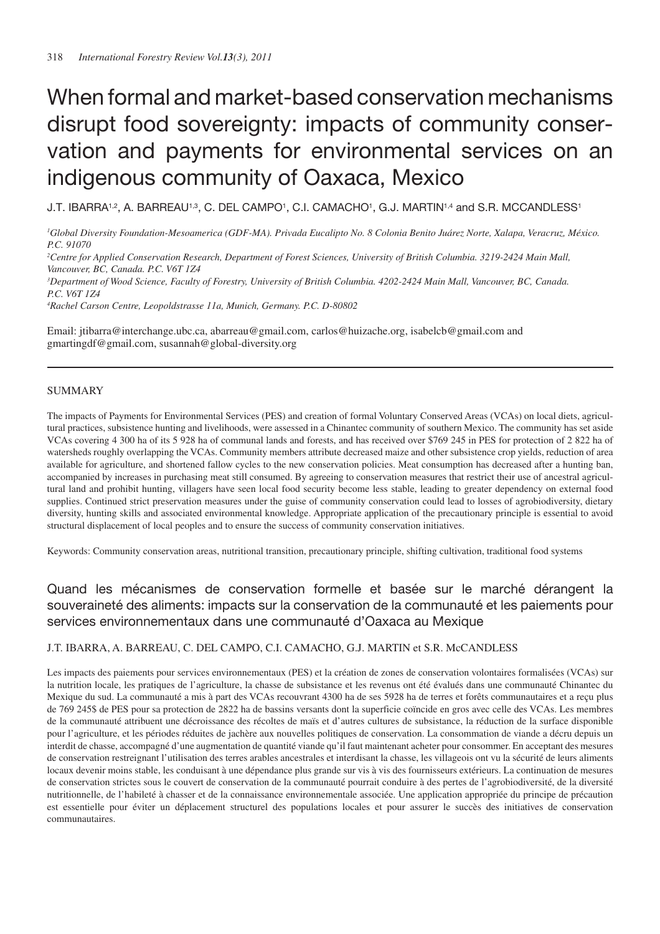# When formal and market-based conservation mechanisms disrupt food sovereignty: impacts of community conservation and payments for environmental services on an indigenous community of Oaxaca, Mexico

J.T. IBARRA12, A. BARREAU13, C. DEL CAMPO1, C.I. CAMACHO1, G.J. MARTIN14 and S.R. MCCANDLESS1

*1 Global Diversity Foundation-Mesoamerica (GDF-MA). Privada Eucalipto No. 8 Colonia Benito Juárez Norte, Xalapa, Veracruz, México. P.C. 91070*

*2 Centre for Applied Conservation Research, Department of Forest Sciences, University of British Columbia. 3219-2424 Main Mall, Vancouver, BC, Canada. P.C. V6T 1Z4*

*3 Department of Wood Science, Faculty of Forestry, University of British Columbia. 4202-2424 Main Mall, Vancouver, BC, Canada. P.C. V6T 1Z4*

*4 Rachel Carson Centre, Leopoldstrasse 11a, Munich, Germany. P.C. D-80802*

Email: jtibarra@interchange.ubc.ca, abarreau@gmail.com, carlos@huizache.org, isabelcb@gmail.com and gmartingdf@gmail.com, susannah@global-diversity.org

# SUMMARY

The impacts of Payments for Environmental Services (PES) and creation of formal Voluntary Conserved Areas (VCAs) on local diets, agricultural practices, subsistence hunting and livelihoods, were assessed in a Chinantec community of southern Mexico. The community has set aside VCAs covering 4 300 ha of its 5 928 ha of communal lands and forests, and has received over \$769 245 in PES for protection of 2 822 ha of watersheds roughly overlapping the VCAs. Community members attribute decreased maize and other subsistence crop yields, reduction of area available for agriculture, and shortened fallow cycles to the new conservation policies. Meat consumption has decreased after a hunting ban, accompanied by increases in purchasing meat still consumed. By agreeing to conservation measures that restrict their use of ancestral agricultural land and prohibit hunting, villagers have seen local food security become less stable, leading to greater dependency on external food supplies. Continued strict preservation measures under the guise of community conservation could lead to losses of agrobiodiversity, dietary diversity, hunting skills and associated environmental knowledge. Appropriate application of the precautionary principle is essential to avoid structural displacement of local peoples and to ensure the success of community conservation initiatives.

Keywords: Community conservation areas, nutritional transition, precautionary principle, shifting cultivation, traditional food systems

# Quand les mécanismes de conservation formelle et basée sur le marché dérangent la souveraineté des aliments: impacts sur la conservation de la communauté et les paiements pour services environnementaux dans une communauté d'Oaxaca au Mexique

# J.T. IBARRA, A. BARREAU, C. DEL CAMPO, C.I. CAMACHO, G.J. MARTIN et S.R. McCANDLESS

Les impacts des paiements pour services environnementaux (PES) et la création de zones de conservation volontaires formalisées (VCAs) sur la nutrition locale, les pratiques de l'agriculture, la chasse de subsistance et les revenus ont été évalués dans une communauté Chinantec du Mexique du sud. La communauté a mis à part des VCAs recouvrant 4300 ha de ses 5928 ha de terres et forêts communautaires et a reçu plus de 769 245\$ de PES pour sa protection de 2822 ha de bassins versants dont la superficie coïncide en gros avec celle des VCAs. Les membres de la communauté attribuent une décroissance des récoltes de maïs et d'autres cultures de subsistance, la réduction de la surface disponible pour l'agriculture, et les périodes réduites de jachère aux nouvelles politiques de conservation. La consommation de viande a décru depuis un interdit de chasse, accompagné d'une augmentation de quantité viande qu'il faut maintenant acheter pour consommer. En acceptant des mesures de conservation restreignant l'utilisation des terres arables ancestrales et interdisant la chasse, les villageois ont vu la sécurité de leurs aliments locaux devenir moins stable, les conduisant à une dépendance plus grande sur vis à vis des fournisseurs extérieurs. La continuation de mesures de conservation strictes sous le couvert de conservation de la communauté pourrait conduire à des pertes de l'agrobiodiversité, de la diversité nutritionnelle, de l'habileté à chasser et de la connaissance environnementale associée. Une application appropriée du principe de précaution est essentielle pour éviter un déplacement structurel des populations locales et pour assurer le succès des initiatives de conservation communautaires.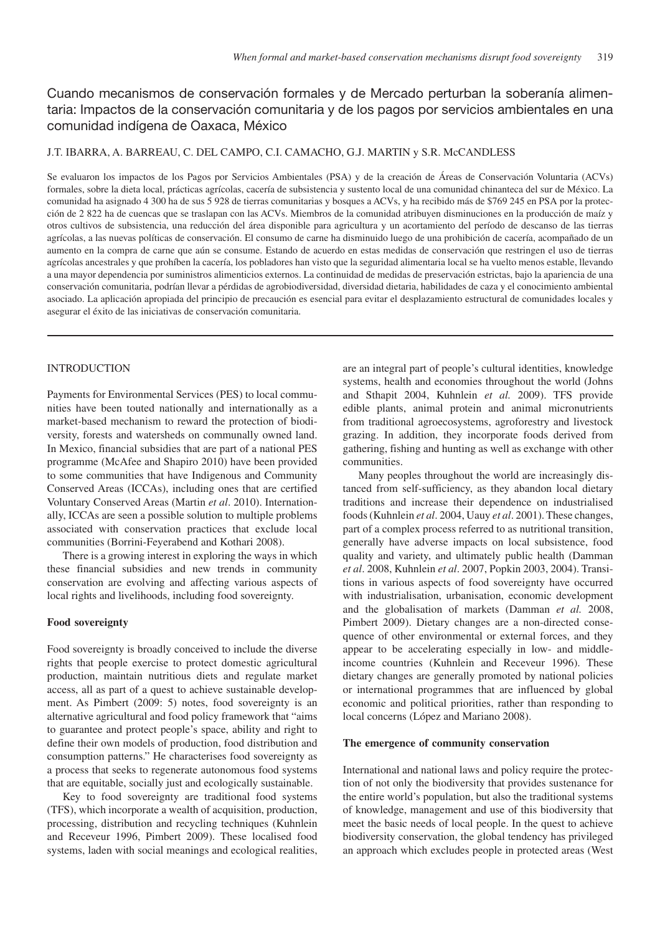Cuando mecanismos de conservación formales y de Mercado perturban la soberanía alimentaria: Impactos de la conservación comunitaria y de los pagos por servicios ambientales en una comunidad indígena de Oaxaca, México

J.T. IBARRA, A. BARREAU, C. DEL CAMPO, C.I. CAMACHO, G.J. MARTIN y S.R. McCANDLESS

Se evaluaron los impactos de los Pagos por Servicios Ambientales (PSA) y de la creación de Áreas de Conservación Voluntaria (ACVs) formales, sobre la dieta local, prácticas agrícolas, cacería de subsistencia y sustento local de una comunidad chinanteca del sur de México. La comunidad ha asignado 4 300 ha de sus 5 928 de tierras comunitarias y bosques a ACVs, y ha recibido más de \$769 245 en PSA por la protección de 2 822 ha de cuencas que se traslapan con las ACVs. Miembros de la comunidad atribuyen disminuciones en la producción de maíz y otros cultivos de subsistencia, una reducción del área disponible para agricultura y un acortamiento del período de descanso de las tierras agrícolas, a las nuevas políticas de conservación. El consumo de carne ha disminuido luego de una prohibición de cacería, acompañado de un aumento en la compra de carne que aún se consume. Estando de acuerdo en estas medidas de conservación que restringen el uso de tierras agrícolas ancestrales y que prohíben la cacería, los pobladores han visto que la seguridad alimentaria local se ha vuelto menos estable, llevando a una mayor dependencia por suministros alimenticios externos. La continuidad de medidas de preservación estrictas, bajo la apariencia de una conservación comunitaria, podrían llevar a pérdidas de agrobiodiversidad, diversidad dietaria, habilidades de caza y el conocimiento ambiental asociado. La aplicación apropiada del principio de precaución es esencial para evitar el desplazamiento estructural de comunidades locales y asegurar el éxito de las iniciativas de conservación comunitaria.

### INTRODUCTION

Payments for Environmental Services (PES) to local communities have been touted nationally and internationally as a market-based mechanism to reward the protection of biodiversity, forests and watersheds on communally owned land. In Mexico, financial subsidies that are part of a national PES programme (McAfee and Shapiro 2010) have been provided to some communities that have Indigenous and Community Conserved Areas (ICCAs), including ones that are certified Voluntary Conserved Areas (Martin *et al*. 2010). Internationally, ICCAs are seen a possible solution to multiple problems associated with conservation practices that exclude local communities (Borrini-Feyerabend and Kothari 2008).

There is a growing interest in exploring the ways in which these financial subsidies and new trends in community conservation are evolving and affecting various aspects of local rights and livelihoods, including food sovereignty.

# **Food sovereignty**

Food sovereignty is broadly conceived to include the diverse rights that people exercise to protect domestic agricultural production, maintain nutritious diets and regulate market access, all as part of a quest to achieve sustainable development. As Pimbert (2009: 5) notes, food sovereignty is an alternative agricultural and food policy framework that "aims to guarantee and protect people's space, ability and right to define their own models of production, food distribution and consumption patterns." He characterises food sovereignty as a process that seeks to regenerate autonomous food systems that are equitable, socially just and ecologically sustainable.

Key to food sovereignty are traditional food systems (TFS), which incorporate a wealth of acquisition, production, processing, distribution and recycling techniques (Kuhnlein and Receveur 1996, Pimbert 2009). These localised food systems, laden with social meanings and ecological realities, are an integral part of people's cultural identities, knowledge systems, health and economies throughout the world (Johns and Sthapit 2004, Kuhnlein *et al.* 2009). TFS provide edible plants, animal protein and animal micronutrients from traditional agroecosystems, agroforestry and livestock grazing. In addition, they incorporate foods derived from gathering, fishing and hunting as well as exchange with other communities.

Many peoples throughout the world are increasingly distanced from self-sufficiency, as they abandon local dietary traditions and increase their dependence on industrialised foods (Kuhnlein et al. 2004, Uauy et al. 2001). These changes, part of a complex process referred to as nutritional transition, generally have adverse impacts on local subsistence, food quality and variety, and ultimately public health (Damman *et al*. 2008, Kuhnlein *et al*. 2007, Popkin 2003, 2004). Transitions in various aspects of food sovereignty have occurred with industrialisation, urbanisation, economic development and the globalisation of markets (Damman *et al.* 2008, Pimbert 2009). Dietary changes are a non-directed consequence of other environmental or external forces, and they appear to be accelerating especially in low- and middleincome countries (Kuhnlein and Receveur 1996). These dietary changes are generally promoted by national policies or international programmes that are influenced by global economic and political priorities, rather than responding to local concerns (López and Mariano 2008).

#### **The emergence of community conservation**

International and national laws and policy require the protection of not only the biodiversity that provides sustenance for the entire world's population, but also the traditional systems of knowledge, management and use of this biodiversity that meet the basic needs of local people. In the quest to achieve biodiversity conservation, the global tendency has privileged an approach which excludes people in protected areas (West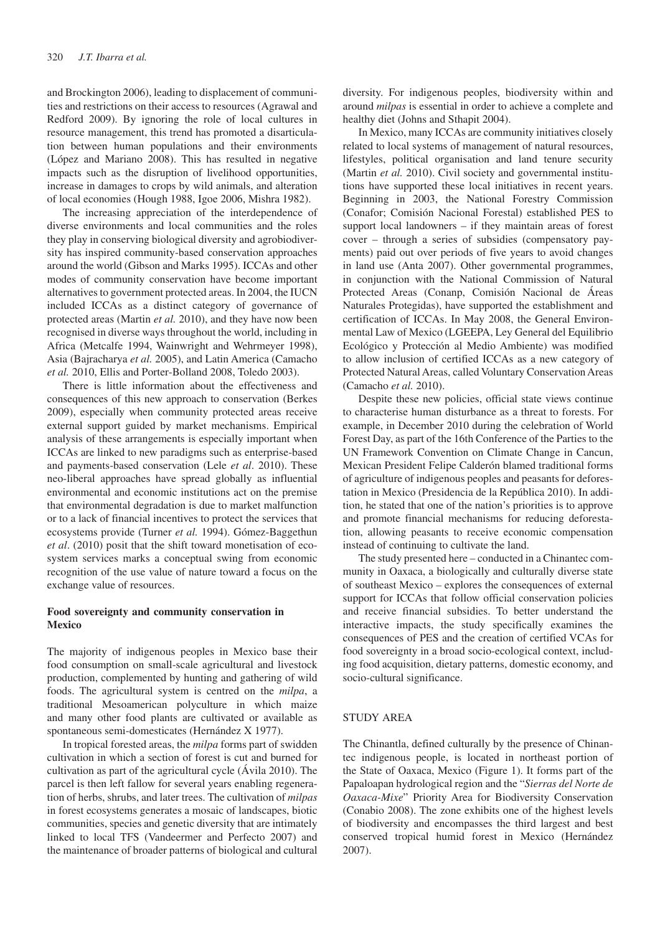and Brockington 2006), leading to displacement of communities and restrictions on their access to resources (Agrawal and Redford 2009). By ignoring the role of local cultures in resource management, this trend has promoted a disarticulation between human populations and their environments (López and Mariano 2008). This has resulted in negative impacts such as the disruption of livelihood opportunities, increase in damages to crops by wild animals, and alteration of local economies (Hough 1988, Igoe 2006, Mishra 1982).

The increasing appreciation of the interdependence of diverse environments and local communities and the roles they play in conserving biological diversity and agrobiodiversity has inspired community-based conservation approaches around the world (Gibson and Marks 1995). ICCAs and other modes of community conservation have become important alternatives to government protected areas. In 2004, the IUCN included ICCAs as a distinct category of governance of protected areas (Martin *et al.* 2010), and they have now been recognised in diverse ways throughout the world, including in Africa (Metcalfe 1994, Wainwright and Wehrmeyer 1998), Asia (Bajracharya *et al.* 2005), and Latin America (Camacho *et al.* 2010, Ellis and Porter-Bolland 2008, Toledo 2003).

There is little information about the effectiveness and consequences of this new approach to conservation (Berkes 2009), especially when community protected areas receive external support guided by market mechanisms. Empirical analysis of these arrangements is especially important when ICCAs are linked to new paradigms such as enterprise-based and payments-based conservation (Lele *et al*. 2010). These neo-liberal approaches have spread globally as influential environmental and economic institutions act on the premise that environmental degradation is due to market malfunction or to a lack of financial incentives to protect the services that ecosystems provide (Turner *et al.* 1994). Gómez-Baggethun *et al*. (2010) posit that the shift toward monetisation of ecosystem services marks a conceptual swing from economic recognition of the use value of nature toward a focus on the exchange value of resources.

# **Food sovereignty and community conservation in Mexico**

The majority of indigenous peoples in Mexico base their food consumption on small-scale agricultural and livestock production, complemented by hunting and gathering of wild foods. The agricultural system is centred on the *milpa*, a traditional Mesoamerican polyculture in which maize and many other food plants are cultivated or available as spontaneous semi-domesticates (Hernández X 1977).

In tropical forested areas, the *milpa* forms part of swidden cultivation in which a section of forest is cut and burned for cultivation as part of the agricultural cycle (Ávila 2010). The parcel is then left fallow for several years enabling regeneration of herbs, shrubs, and later trees. The cultivation of *milpas* in forest ecosystems generates a mosaic of landscapes, biotic communities, species and genetic diversity that are intimately linked to local TFS (Vandeermer and Perfecto 2007) and the maintenance of broader patterns of biological and cultural

diversity. For indigenous peoples, biodiversity within and around *milpas* is essential in order to achieve a complete and healthy diet (Johns and Sthapit 2004).

In Mexico, many ICCAs are community initiatives closely related to local systems of management of natural resources, lifestyles, political organisation and land tenure security (Martin *et al.* 2010). Civil society and governmental institutions have supported these local initiatives in recent years. Beginning in 2003, the National Forestry Commission (Conafor; Comisión Nacional Forestal) established PES to support local landowners – if they maintain areas of forest cover – through a series of subsidies (compensatory payments) paid out over periods of five years to avoid changes in land use (Anta 2007). Other governmental programmes, in conjunction with the National Commission of Natural Protected Areas (Conanp, Comisión Nacional de Áreas Naturales Protegidas), have supported the establishment and certification of ICCAs. In May 2008, the General Environmental Law of Mexico (LGEEPA, Ley General del Equilibrio Ecológico y Protección al Medio Ambiente) was modified to allow inclusion of certified ICCAs as a new category of Protected Natural Areas, called Voluntary Conservation Areas (Camacho *et al.* 2010).

Despite these new policies, official state views continue to characterise human disturbance as a threat to forests. For example, in December 2010 during the celebration of World Forest Day, as part of the 16th Conference of the Parties to the UN Framework Convention on Climate Change in Cancun, Mexican President Felipe Calderón blamed traditional forms of agriculture of indigenous peoples and peasants for deforestation in Mexico (Presidencia de la República 2010). In addition, he stated that one of the nation's priorities is to approve and promote financial mechanisms for reducing deforestation, allowing peasants to receive economic compensation instead of continuing to cultivate the land.

The study presented here – conducted in a Chinantec community in Oaxaca, a biologically and culturally diverse state of southeast Mexico – explores the consequences of external support for ICCAs that follow official conservation policies and receive financial subsidies. To better understand the interactive impacts, the study specifically examines the consequences of PES and the creation of certified VCAs for food sovereignty in a broad socio-ecological context, including food acquisition, dietary patterns, domestic economy, and socio-cultural significance.

#### STUDY AREA

The Chinantla, defined culturally by the presence of Chinantec indigenous people, is located in northeast portion of the State of Oaxaca, Mexico (Figure 1). It forms part of the Papaloapan hydrological region and the "*Sierras del Norte de Oaxaca-Mixe*" Priority Area for Biodiversity Conservation (Conabio 2008). The zone exhibits one of the highest levels of biodiversity and encompasses the third largest and best conserved tropical humid forest in Mexico (Hernández 2007).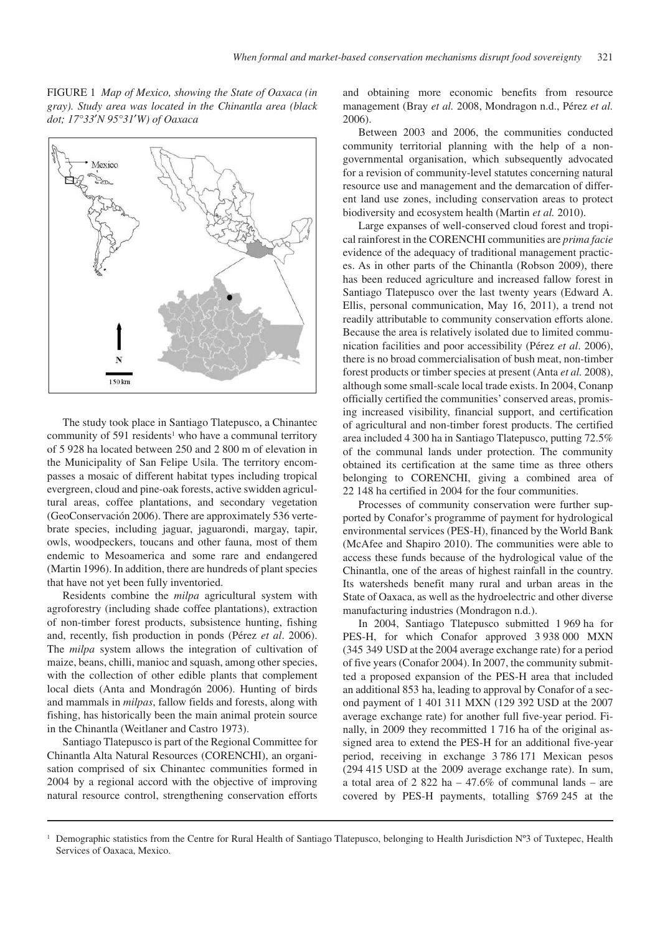FIGURE 1 *Map of Mexico, showing the State of Oaxaca (in gray). Study area was located in the Chinantla area (black dot; 17°33*′*N 95°31*′*W) of Oaxaca*



The study took place in Santiago Tlatepusco, a Chinantec community of 591 residents<sup>1</sup> who have a communal territory of 5 928 ha located between 250 and 2 800 m of elevation in the Municipality of San Felipe Usila. The territory encompasses a mosaic of different habitat types including tropical evergreen, cloud and pine-oak forests, active swidden agricultural areas, coffee plantations, and secondary vegetation (GeoConservación 2006). There are approximately 536 vertebrate species, including jaguar, jaguarondi, margay, tapir, owls, woodpeckers, toucans and other fauna, most of them endemic to Mesoamerica and some rare and endangered (Martin 1996). In addition, there are hundreds of plant species that have not yet been fully inventoried.

Residents combine the *milpa* agricultural system with agroforestry (including shade coffee plantations), extraction of non-timber forest products, subsistence hunting, fishing and, recently, fish production in ponds (Pérez *et al*. 2006). The *milpa* system allows the integration of cultivation of maize, beans, chilli, manioc and squash, among other species, with the collection of other edible plants that complement local diets (Anta and Mondragón 2006). Hunting of birds and mammals in *milpas*, fallow fields and forests, along with fishing, has historically been the main animal protein source in the Chinantla (Weitlaner and Castro 1973).

Santiago Tlatepusco is part of the Regional Committee for Chinantla Alta Natural Resources (CORENCHI), an organisation comprised of six Chinantec communities formed in 2004 by a regional accord with the objective of improving natural resource control, strengthening conservation efforts

and obtaining more economic benefits from resource management (Bray *et al.* 2008, Mondragon n.d., Pérez *et al.* 2006).

Between 2003 and 2006, the communities conducted community territorial planning with the help of a nongovernmental organisation, which subsequently advocated for a revision of community-level statutes concerning natural resource use and management and the demarcation of different land use zones, including conservation areas to protect biodiversity and ecosystem health (Martin *et al.* 2010).

Large expanses of well-conserved cloud forest and tropical rainforest in the CORENCHI communities are *prima facie* evidence of the adequacy of traditional management practices. As in other parts of the Chinantla (Robson 2009), there has been reduced agriculture and increased fallow forest in Santiago Tlatepusco over the last twenty years (Edward A. Ellis, personal communication, May 16, 2011), a trend not readily attributable to community conservation efforts alone. Because the area is relatively isolated due to limited communication facilities and poor accessibility (Pérez *et al*. 2006), there is no broad commercialisation of bush meat, non-timber forest products or timber species at present (Anta *et al.* 2008), although some small-scale local trade exists. In 2004, Conanp officially certified the communities' conserved areas, promising increased visibility, financial support, and certification of agricultural and non-timber forest products. The certified area included 4 300 ha in Santiago Tlatepusco, putting 72.5% of the communal lands under protection. The community obtained its certification at the same time as three others belonging to CORENCHI, giving a combined area of 22 148 ha certified in 2004 for the four communities.

Processes of community conservation were further supported by Conafor's programme of payment for hydrological environmental services (PES-H), financed by the World Bank (McAfee and Shapiro 2010). The communities were able to access these funds because of the hydrological value of the Chinantla, one of the areas of highest rainfall in the country. Its watersheds benefit many rural and urban areas in the State of Oaxaca, as well as the hydroelectric and other diverse manufacturing industries (Mondragon n.d.).

In 2004, Santiago Tlatepusco submitted 1 969 ha for PES-H, for which Conafor approved 3 938 000 MXN (345 349 USD at the 2004 average exchange rate) for a period of five years (Conafor 2004). In 2007, the community submitted a proposed expansion of the PES-H area that included an additional 853 ha, leading to approval by Conafor of a second payment of 1 401 311 MXN (129 392 USD at the 2007 average exchange rate) for another full five-year period. Finally, in 2009 they recommitted 1 716 ha of the original assigned area to extend the PES-H for an additional five-year period, receiving in exchange 3 786 171 Mexican pesos (294 415 USD at the 2009 average exchange rate). In sum, a total area of  $2822$  ha  $-47.6\%$  of communal lands – are covered by PES-H payments, totalling \$769 245 at the

<sup>1</sup> Demographic statistics from the Centre for Rural Health of Santiago Tlatepusco, belonging to Health Jurisdiction Nº3 of Tuxtepec, Health Services of Oaxaca, Mexico.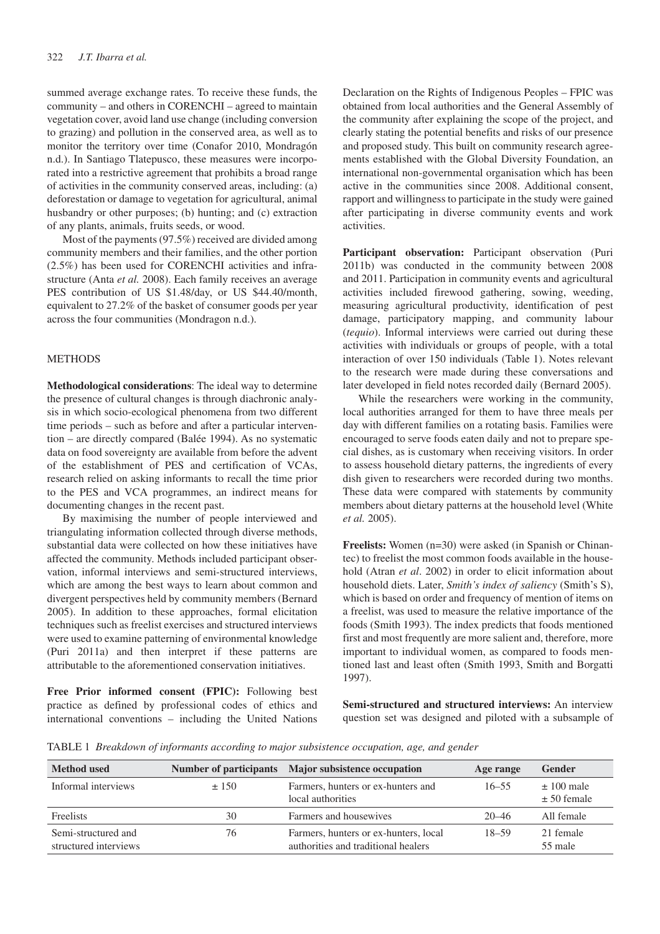summed average exchange rates. To receive these funds, the community – and others in CORENCHI – agreed to maintain vegetation cover, avoid land use change (including conversion to grazing) and pollution in the conserved area, as well as to monitor the territory over time (Conafor 2010, Mondragón n.d.). In Santiago Tlatepusco, these measures were incorporated into a restrictive agreement that prohibits a broad range of activities in the community conserved areas, including: (a) deforestation or damage to vegetation for agricultural, animal husbandry or other purposes; (b) hunting; and (c) extraction of any plants, animals, fruits seeds, or wood.

Most of the payments (97.5%) received are divided among community members and their families, and the other portion (2.5%) has been used for CORENCHI activities and infrastructure (Anta *et al.* 2008). Each family receives an average PES contribution of US \$1.48/day, or US \$44.40/month, equivalent to 27.2% of the basket of consumer goods per year across the four communities (Mondragon n.d.).

# **METHODS**

**Methodological considerations**: The ideal way to determine the presence of cultural changes is through diachronic analysis in which socio-ecological phenomena from two different time periods – such as before and after a particular intervention – are directly compared (Balée 1994). As no systematic data on food sovereignty are available from before the advent of the establishment of PES and certification of VCAs, research relied on asking informants to recall the time prior to the PES and VCA programmes, an indirect means for documenting changes in the recent past.

By maximising the number of people interviewed and triangulating information collected through diverse methods, substantial data were collected on how these initiatives have affected the community. Methods included participant observation, informal interviews and semi-structured interviews, which are among the best ways to learn about common and divergent perspectives held by community members (Bernard 2005). In addition to these approaches, formal elicitation techniques such as freelist exercises and structured interviews were used to examine patterning of environmental knowledge (Puri 2011a) and then interpret if these patterns are attributable to the aforementioned conservation initiatives.

**Free Prior informed consent (FPIC):** Following best practice as defined by professional codes of ethics and international conventions – including the United Nations

Declaration on the Rights of Indigenous Peoples – FPIC was obtained from local authorities and the General Assembly of the community after explaining the scope of the project, and clearly stating the potential benefits and risks of our presence and proposed study. This built on community research agreements established with the Global Diversity Foundation, an international non-governmental organisation which has been active in the communities since 2008. Additional consent, rapport and willingness to participate in the study were gained after participating in diverse community events and work activities.

Participant observation: Participant observation (Puri 2011b) was conducted in the community between 2008 and 2011. Participation in community events and agricultural activities included firewood gathering, sowing, weeding, measuring agricultural productivity, identification of pest damage, participatory mapping, and community labour (*tequio*). Informal interviews were carried out during these activities with individuals or groups of people, with a total interaction of over 150 individuals (Table 1). Notes relevant to the research were made during these conversations and later developed in field notes recorded daily (Bernard 2005).

While the researchers were working in the community, local authorities arranged for them to have three meals per day with different families on a rotating basis. Families were encouraged to serve foods eaten daily and not to prepare special dishes, as is customary when receiving visitors. In order to assess household dietary patterns, the ingredients of every dish given to researchers were recorded during two months. These data were compared with statements by community members about dietary patterns at the household level (White *et al.* 2005).

**Freelists:** Women (n=30) were asked (in Spanish or Chinantec) to freelist the most common foods available in the household (Atran *et al*. 2002) in order to elicit information about household diets. Later, *Smith's index of saliency* (Smith's S), which is based on order and frequency of mention of items on a freelist, was used to measure the relative importance of the foods (Smith 1993). The index predicts that foods mentioned first and most frequently are more salient and, therefore, more important to individual women, as compared to foods mentioned last and least often (Smith 1993, Smith and Borgatti 1997).

**Semi-structured and structured interviews:** An interview question set was designed and piloted with a subsample of

TABLE 1 *Breakdown of informants according to major subsistence occupation, age, and gender*

| <b>Method</b> used                           |           | Number of participants Major subsistence occupation                          | Age range | <b>Gender</b>                     |
|----------------------------------------------|-----------|------------------------------------------------------------------------------|-----------|-----------------------------------|
| Informal interviews                          | $\pm$ 150 | Farmers, hunters or ex-hunters and<br>local authorities                      | $16 - 55$ | $\pm 100$ male<br>$\pm$ 50 female |
| <b>Freelists</b>                             | 30        | Farmers and housewives                                                       | $20 - 46$ | All female                        |
| Semi-structured and<br>structured interviews | 76        | Farmers, hunters or ex-hunters, local<br>authorities and traditional healers | $18 - 59$ | 21 female<br>55 male              |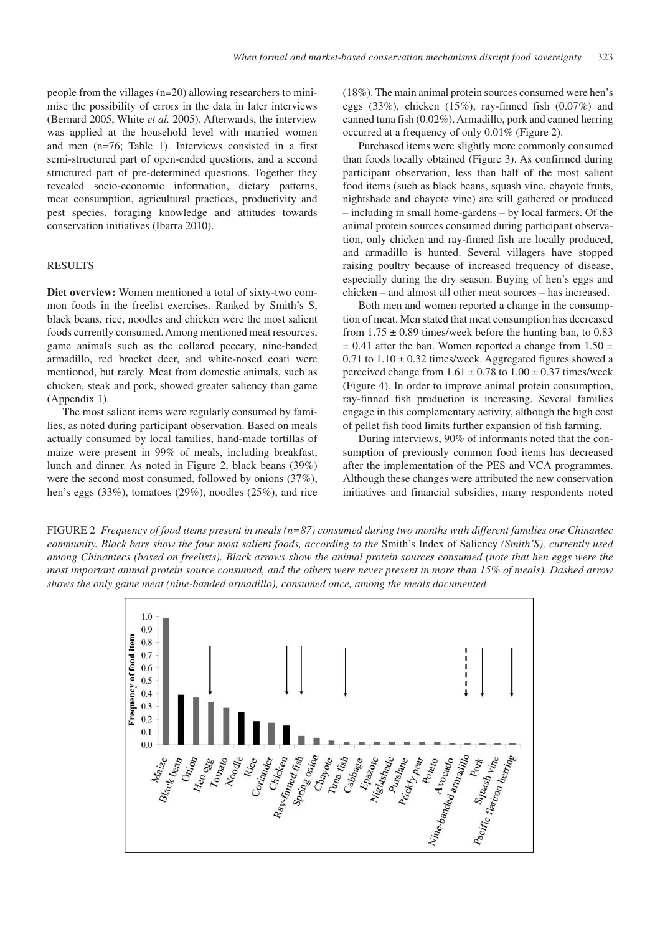people from the villages (n=20) allowing researchers to minimise the possibility of errors in the data in later interviews (Bernard 2005, White *et al.* 2005). Afterwards, the interview was applied at the household level with married women and men (n=76; Table 1). Interviews consisted in a first semi-structured part of open-ended questions, and a second structured part of pre-determined questions. Together they revealed socio-economic information, dietary patterns, meat consumption, agricultural practices, productivity and pest species, foraging knowledge and attitudes towards conservation initiatives (Ibarra 2010).

# RESULTS

**Diet overview:** Women mentioned a total of sixty-two common foods in the freelist exercises. Ranked by Smith's S, black beans, rice, noodles and chicken were the most salient foods currently consumed. Among mentioned meat resources, game animals such as the collared peccary, nine-banded armadillo, red brocket deer, and white-nosed coati were mentioned, but rarely. Meat from domestic animals, such as chicken, steak and pork, showed greater saliency than game (Appendix 1).

The most salient items were regularly consumed by families, as noted during participant observation. Based on meals actually consumed by local families, hand-made tortillas of maize were present in 99% of meals, including breakfast, lunch and dinner. As noted in Figure 2, black beans (39%) were the second most consumed, followed by onions (37%), hen's eggs (33%), tomatoes (29%), noodles (25%), and rice

(18%). The main animal protein sources consumed were hen's eggs  $(33\%)$ , chicken  $(15\%)$ , ray-finned fish  $(0.07\%)$  and canned tuna fish (0.02%). Armadillo, pork and canned herring occurred at a frequency of only 0.01% (Figure 2).

Purchased items were slightly more commonly consumed than foods locally obtained (Figure 3). As confirmed during participant observation, less than half of the most salient food items (such as black beans, squash vine, chayote fruits, nightshade and chayote vine) are still gathered or produced – including in small home-gardens – by local farmers. Of the animal protein sources consumed during participant observation, only chicken and ray-finned fish are locally produced, and armadillo is hunted. Several villagers have stopped raising poultry because of increased frequency of disease, especially during the dry season. Buying of hen's eggs and chicken – and almost all other meat sources – has increased.

Both men and women reported a change in the consumption of meat. Men stated that meat consumption has decreased from  $1.75 \pm 0.89$  times/week before the hunting ban, to 0.83  $\pm$  0.41 after the ban. Women reported a change from 1.50  $\pm$ 0.71 to  $1.10 \pm 0.32$  times/week. Aggregated figures showed a perceived change from  $1.61 \pm 0.78$  to  $1.00 \pm 0.37$  times/week (Figure 4). In order to improve animal protein consumption, ray-finned fish production is increasing. Several families engage in this complementary activity, although the high cost of pellet fish food limits further expansion of fish farming.

During interviews, 90% of informants noted that the consumption of previously common food items has decreased after the implementation of the PES and VCA programmes. Although these changes were attributed the new conservation initiatives and financial subsidies, many respondents noted

FIGURE 2 *Frequency of food items present in meals (n=87) consumed during two months with different families one Chinantec community. Black bars show the four most salient foods, according to the Smith's Index of Saliency (Smith'S), currently used among Chinantecs (based on freelists). Black arrows show the animal protein sources consumed (note that hen eggs were the most important animal protein source consumed, and the others were never present in more than 15% of meals). Dashed arrow shows the only game meat (nine-banded armadillo), consumed once, among the meals documented*